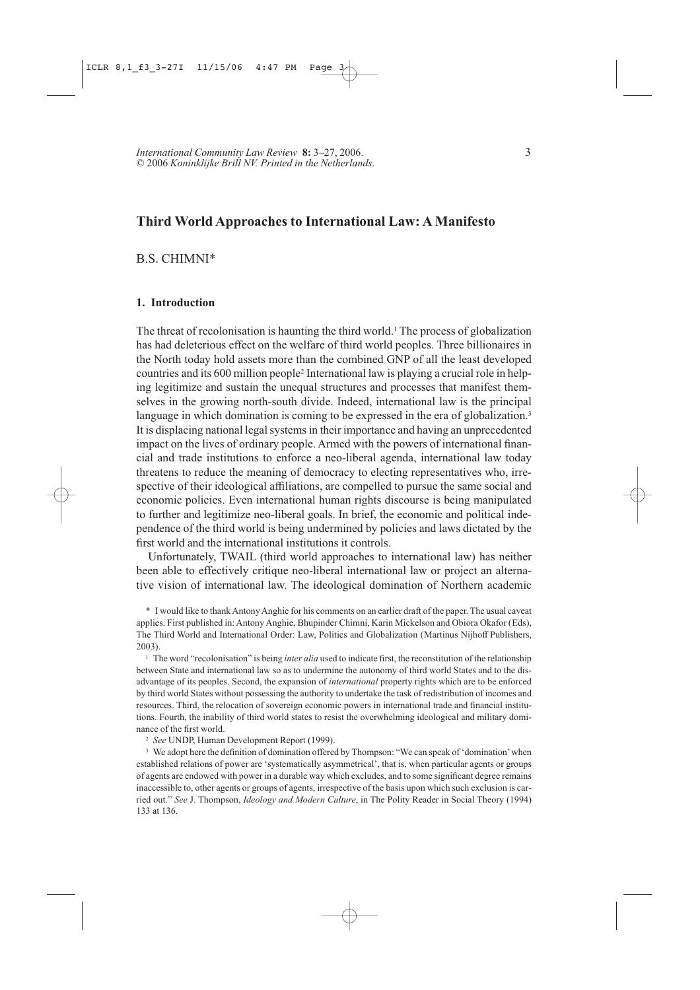# Third World Approaches to International Law: A Manifesto

# **B.S. CHIMNI\***

## 1. Introduction

The threat of recolonisation is haunting the third world.<sup>1</sup> The process of globalization has had deleterious effect on the welfare of third world peoples. Three billionaires in the North today hold assets more than the combined GNP of all the least developed countries and its 600 million people<sup>2</sup> International law is playing a crucial role in helping legitimize and sustain the unequal structures and processes that manifest themselves in the growing north-south divide. Indeed, international law is the principal language in which domination is coming to be expressed in the era of globalization.<sup>3</sup> It is displacing national legal systems in their importance and having an unprecedented impact on the lives of ordinary people. Armed with the powers of international financial and trade institutions to enforce a neo-liberal agenda, international law today threatens to reduce the meaning of democracy to electing representatives who, irrespective of their ideological affiliations, are compelled to pursue the same social and economic policies. Even international human rights discourse is being manipulated to further and legitimize neo-liberal goals. In brief, the economic and political independence of the third world is being undermined by policies and laws dictated by the first world and the international institutions it controls.

Unfortunately, TWAIL (third world approaches to international law) has neither been able to effectively critique neo-liberal international law or project an alternative vision of international law. The ideological domination of Northern academic

\* I would like to thank Antony Anghie for his comments on an earlier draft of the paper. The usual caveat applies. First published in: Antony Anghie, Bhupinder Chimni, Karin Mickelson and Obiora Okafor (Eds), The Third World and International Order: Law, Politics and Globalization (Martinus Nijhoff Publishers,  $2003$ 

<sup>1</sup> The word "recolonisation" is being *inter alia* used to indicate first, the reconstitution of the relationship between State and international law so as to undermine the autonomy of third world States and to the disadvantage of its peoples. Second, the expansion of *international* property rights which are to be enforced by third world States without possessing the authority to undertake the task of redistribution of incomes and resources. Third, the relocation of sovereign economic powers in international trade and financial institutions. Fourth, the inability of third world states to resist the overwhelming ideological and military dominance of the first world.

<sup>2</sup> See UNDP, Human Development Report (1999).

<sup>3</sup> We adopt here the definition of domination offered by Thompson: "We can speak of 'domination' when established relations of power are 'systematically asymmetrical', that is, when particular agents or groups of agents are endowed with power in a durable way which excludes, and to some significant degree remains inaccessible to, other agents or groups of agents, irrespective of the basis upon which such exclusion is carried out." See J. Thompson, Ideology and Modern Culture, in The Polity Reader in Social Theory (1994) 133 at 136.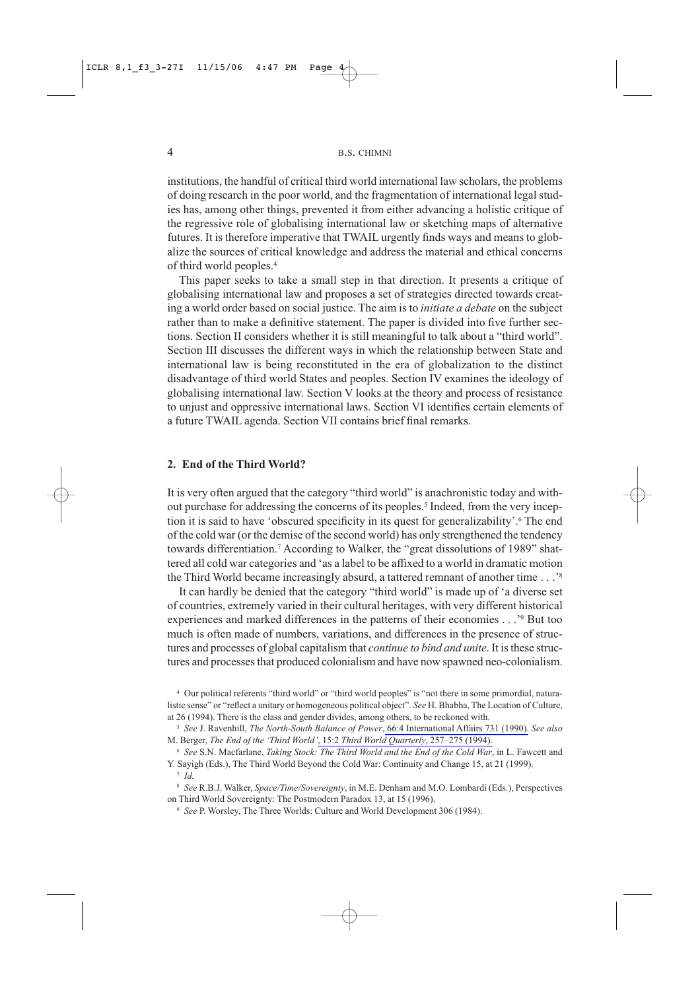institutions, the handful of critical third world international law scholars, the problems of doing research in the poor world, and the fragmentation of international legal studies has, among other things, prevented it from either advancing a holistic critique of the regressive role of globalising international law or sketching maps of alternative futures. It is therefore imperative that TWAIL urgently finds ways and means to globalize the sources of critical knowledge and address the material and ethical concerns of third world peoples.<sup>4</sup>

This paper seeks to take a small step in that direction. It presents a critique of globalising international law and proposes a set of strategies directed towards creating a world order based on social justice. The aim is to *initiate a debate* on the subject rather than to make a definitive statement. The paper is divided into five further sections. Section II considers whether it is still meaningful to talk about a "third world". Section III discusses the different ways in which the relationship between State and international law is being reconstituted in the era of globalization to the distinct disadvantage of third world States and peoples. Section IV examines the ideology of globalising international law. Section V looks at the theory and process of resistance to unjust and oppressive international laws. Section VI identifies certain elements of a future TWAIL agenda. Section VII contains brief final remarks.

### 2. End of the Third World?

It is very often argued that the category "third world" is anachronistic today and without purchase for addressing the concerns of its peoples.<sup>5</sup> Indeed, from the very inception it is said to have 'obscured specificity in its quest for generalizability'.<sup>6</sup> The end of the cold war (or the demise of the second world) has only strengthened the tendency towards differentiation.<sup>7</sup> According to Walker, the "great dissolutions of 1989" shattered all cold war categories and 'as a label to be affixed to a world in dramatic motion the Third World became increasingly absurd, a tattered remnant of another time . . . '<sup>8</sup>

It can hardly be denied that the category "third world" is made up of 'a diverse set of countries, extremely varied in their cultural heritages, with very different historical experiences and marked differences in the patterns of their economies . . . '<sup>9</sup> But too much is often made of numbers, variations, and differences in the presence of structures and processes of global capitalism that *continue to bind and unite*. It is these structures and processes that produced colonialism and have now spawned neo-colonialism.

<sup>4</sup> Our political referents "third world" or "third world peoples" is "not there in some primordial, naturalistic sense" or "reflect a unitary or homogeneous political object". See H. Bhabha, The Location of Culture, at 26 (1994). There is the class and gender divides, among others, to be reckoned with.

<sup>5</sup> See J. Ravenhill, The North-South Balance of Power, 66:4 International Affairs 731 (1990). See also M. Berger, The End of the 'Third World', 15:2 Third World Quarterly, 257-275 (1994).

<sup>6</sup> See S.N. Macfarlane, Taking Stock: The Third World and the End of the Cold War, in L. Fawcett and Y. Sayigh (Eds.), The Third World Beyond the Cold War: Continuity and Change 15, at 21 (1999).  $7$  Id

<sup>8</sup> See R.B.J. Walker, Space/Time/Sovereignty, in M.E. Denham and M.O. Lombardi (Eds.), Perspectives on Third World Sovereignty: The Postmodern Paradox 13, at 15 (1996).

<sup>9</sup> See P. Worsley, The Three Worlds: Culture and World Development 306 (1984).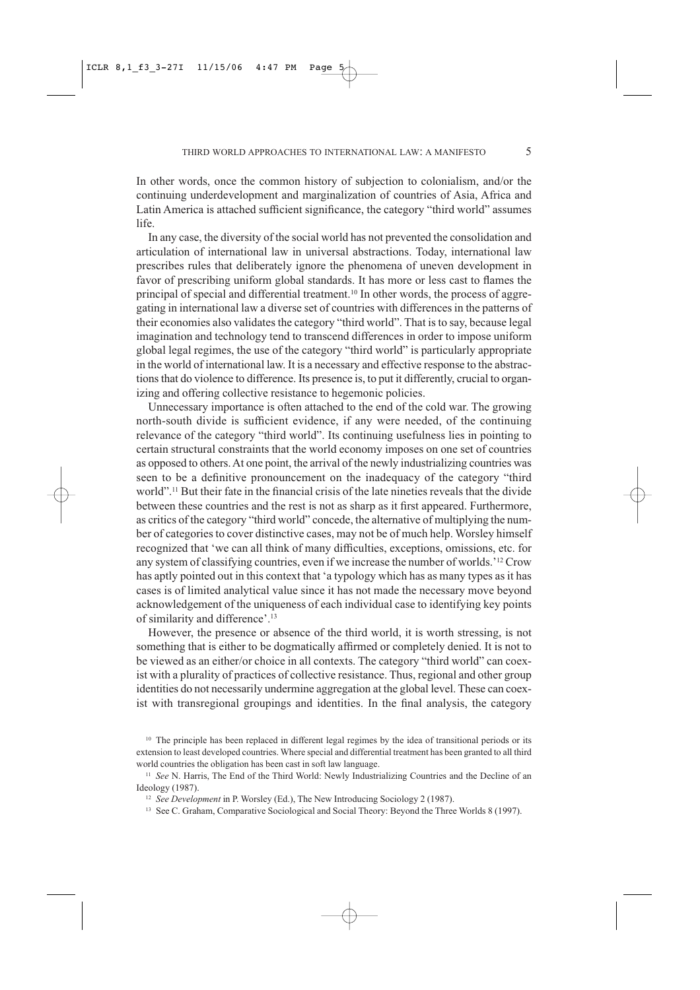In other words, once the common history of subjection to colonialism, and/or the continuing underdevelopment and marginalization of countries of Asia, Africa and Latin America is attached sufficient significance, the category "third world" assumes life.

In any case, the diversity of the social world has not prevented the consolidation and articulation of international law in universal abstractions. Today, international law prescribes rules that deliberately ignore the phenomena of uneven development in favor of prescribing uniform global standards. It has more or less cast to flames the principal of special and differential treatment.<sup>10</sup> In other words, the process of aggregating in international law a diverse set of countries with differences in the patterns of their economies also validates the category "third world". That is to say, because legal imagination and technology tend to transcend differences in order to impose uniform global legal regimes, the use of the category "third world" is particularly appropriate in the world of international law. It is a necessary and effective response to the abstractions that do violence to difference. Its presence is, to put it differently, crucial to organizing and offering collective resistance to hegemonic policies.

Unnecessary importance is often attached to the end of the cold war. The growing north-south divide is sufficient evidence, if any were needed, of the continuing relevance of the category "third world". Its continuing usefulness lies in pointing to certain structural constraints that the world economy imposes on one set of countries as opposed to others. At one point, the arrival of the newly industrializing countries was seen to be a definitive pronouncement on the inadequacy of the category "third world".<sup>11</sup> But their fate in the financial crisis of the late nineties reveals that the divide between these countries and the rest is not as sharp as it first appeared. Furthermore, as critics of the category "third world" concede, the alternative of multiplying the number of categories to cover distinctive cases, may not be of much help. Worsley himself recognized that 'we can all think of many difficulties, exceptions, omissions, etc. for any system of classifying countries, even if we increase the number of worlds.<sup>'12</sup> Crow has aptly pointed out in this context that 'a typology which has as many types as it has cases is of limited analytical value since it has not made the necessary move beyond acknowledgement of the uniqueness of each individual case to identifying key points of similarity and difference'.<sup>13</sup>

However, the presence or absence of the third world, it is worth stressing, is not something that is either to be dogmatically affirmed or completely denied. It is not to be viewed as an either/or choice in all contexts. The category "third world" can coexist with a plurality of practices of collective resistance. Thus, regional and other group identities do not necessarily undermine aggregation at the global level. These can coexist with transregional groupings and identities. In the final analysis, the category

<sup>&</sup>lt;sup>10</sup> The principle has been replaced in different legal regimes by the idea of transitional periods or its extension to least developed countries. Where special and differential treatment has been granted to all third world countries the obligation has been cast in soft law language.

<sup>&</sup>lt;sup>11</sup> See N. Harris, The End of the Third World: Newly Industrializing Countries and the Decline of an Ideology  $(1987)$ .

<sup>&</sup>lt;sup>12</sup> See Development in P. Worsley (Ed.), The New Introducing Sociology 2 (1987).

<sup>&</sup>lt;sup>13</sup> See C. Graham, Comparative Sociological and Social Theory: Beyond the Three Worlds 8 (1997).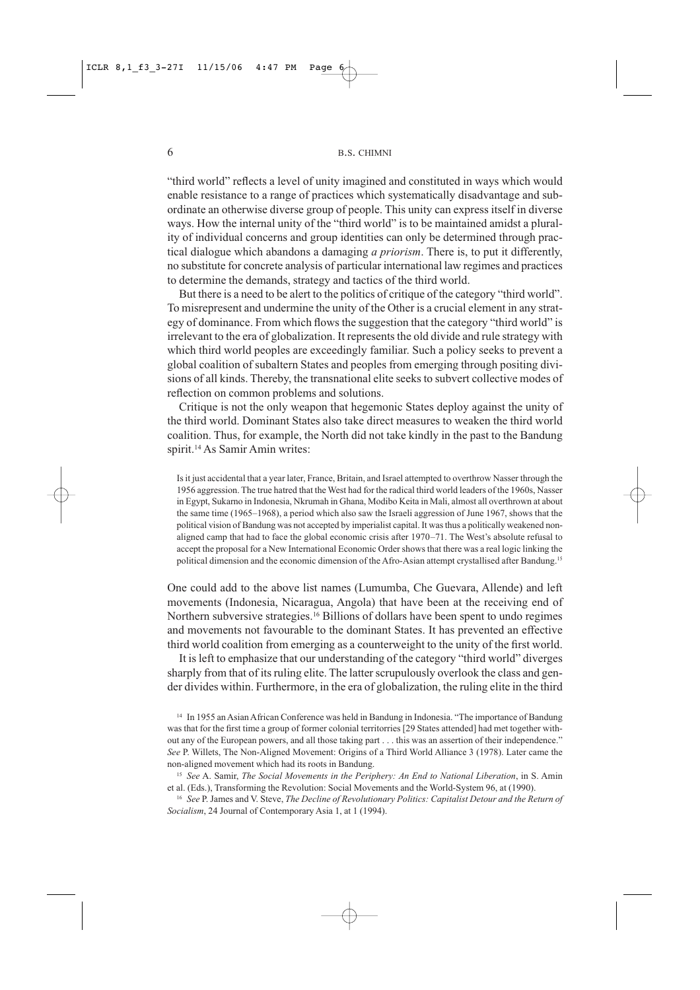"third world" reflects a level of unity imagined and constituted in ways which would enable resistance to a range of practices which systematically disadvantage and subordinate an otherwise diverse group of people. This unity can express itself in diverse ways. How the internal unity of the "third world" is to be maintained amidst a plurality of individual concerns and group identities can only be determined through practical dialogue which abandons a damaging *a priorism*. There is, to put it differently, no substitute for concrete analysis of particular international law regimes and practices to determine the demands, strategy and tactics of the third world.

But there is a need to be alert to the politics of critique of the category "third world". To misrepresent and undermine the unity of the Other is a crucial element in any strategy of dominance. From which flows the suggestion that the category "third world" is irrelevant to the era of globalization. It represents the old divide and rule strategy with which third world peoples are exceedingly familiar. Such a policy seeks to prevent a global coalition of subaltern States and peoples from emerging through positing divisions of all kinds. Thereby, the transnational elite seeks to subvert collective modes of reflection on common problems and solutions.

Critique is not the only weapon that hegemonic States deploy against the unity of the third world. Dominant States also take direct measures to weaken the third world coalition. Thus, for example, the North did not take kindly in the past to the Bandung spirit.<sup>14</sup> As Samir Amin writes:

Is it just accidental that a year later, France, Britain, and Israel attempted to overthrow Nasser through the 1956 aggression. The true hatred that the West had for the radical third world leaders of the 1960s, Nasser in Egypt, Sukarno in Indonesia, Nkrumah in Ghana, Modibo Keita in Mali, almost all overthrown at about the same time (1965–1968), a period which also saw the Israeli aggression of June 1967, shows that the political vision of Bandung was not accepted by imperialist capital. It was thus a politically weakened nonaligned camp that had to face the global economic crisis after 1970-71. The West's absolute refusal to accept the proposal for a New International Economic Order shows that there was a real logic linking the political dimension and the economic dimension of the Afro-Asian attempt crystallised after Bandung.<sup>15</sup>

One could add to the above list names (Lumumba, Che Guevara, Allende) and left movements (Indonesia, Nicaragua, Angola) that have been at the receiving end of Northern subversive strategies.<sup>16</sup> Billions of dollars have been spent to undo regimes and movements not favourable to the dominant States. It has prevented an effective third world coalition from emerging as a counterweight to the unity of the first world.

It is left to emphasize that our understanding of the category "third world" diverges sharply from that of its ruling elite. The latter scrupulously overlook the class and gender divides within. Furthermore, in the era of globalization, the ruling elite in the third

<sup>14</sup> In 1955 an Asian African Conference was held in Bandung in Indonesia. "The importance of Bandung was that for the first time a group of former colonial territorries [29 States attended] had met together without any of the European powers, and all those taking part . . . this was an assertion of their independence." See P. Willets, The Non-Aligned Movement: Origins of a Third World Alliance 3 (1978). Later came the non-aligned movement which had its roots in Bandung.

<sup>15</sup> See A. Samir, *The Social Movements in the Periphery: An End to National Liberation*, in S. Amin et al. (Eds.), Transforming the Revolution: Social Movements and the World-System 96, at (1990).

<sup>16</sup> See P. James and V. Steve, The Decline of Revolutionary Politics: Capitalist Detour and the Return of Socialism, 24 Journal of Contemporary Asia 1, at 1 (1994).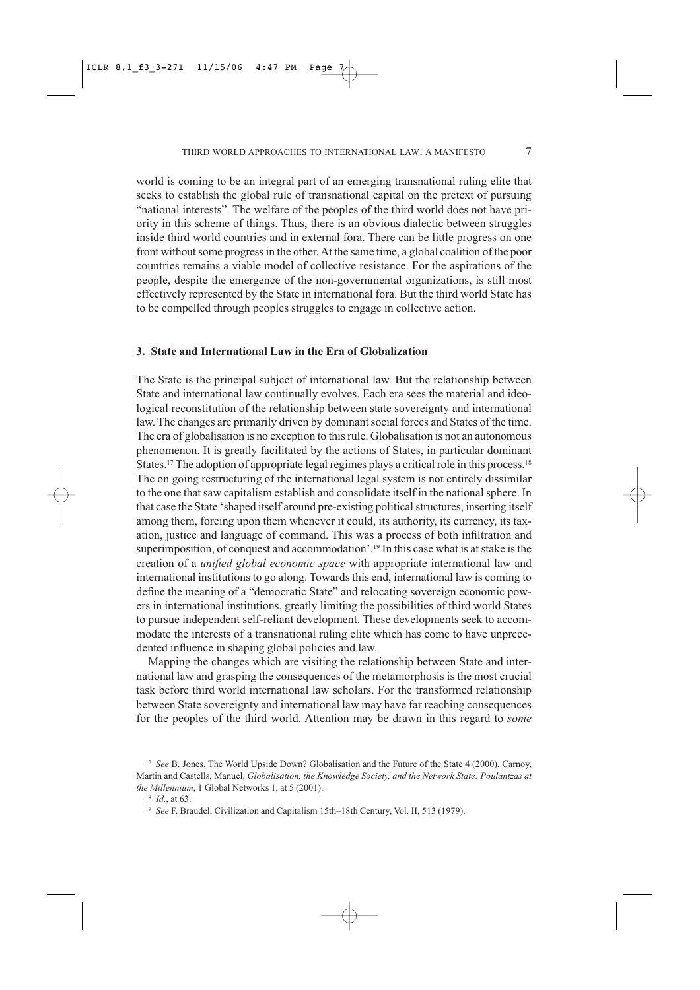world is coming to be an integral part of an emerging transnational ruling elite that seeks to establish the global rule of transnational capital on the pretext of pursuing "national interests". The welfare of the peoples of the third world does not have priority in this scheme of things. Thus, there is an obvious dialectic between struggles inside third world countries and in external fora. There can be little progress on one front without some progress in the other. At the same time, a global coalition of the poor countries remains a viable model of collective resistance. For the aspirations of the people, despite the emergence of the non-governmental organizations, is still most effectively represented by the State in international fora. But the third world State has to be compelled through peoples struggles to engage in collective action.

### 3. State and International Law in the Era of Globalization

The State is the principal subject of international law. But the relationship between State and international law continually evolves. Each era sees the material and ideological reconstitution of the relationship between state sovereignty and international law. The changes are primarily driven by dominant social forces and States of the time. The era of globalisation is no exception to this rule. Globalisation is not an autonomous phenomenon. It is greatly facilitated by the actions of States, in particular dominant States.<sup>17</sup> The adoption of appropriate legal regimes plays a critical role in this process.<sup>18</sup> The on going restructuring of the international legal system is not entirely dissimilar to the one that saw capitalism establish and consolidate itself in the national sphere. In that case the State 'shaped itself around pre-existing political structures, inserting itself among them, forcing upon them whenever it could, its authority, its currency, its taxation, justice and language of command. This was a process of both infiltration and superimposition, of conquest and accommodation'.<sup>19</sup> In this case what is at stake is the creation of a *unified global economic space* with appropriate international law and international institutions to go along. Towards this end, international law is coming to define the meaning of a "democratic State" and relocating sovereign economic powers in international institutions, greatly limiting the possibilities of third world States to pursue independent self-reliant development. These developments seek to accommodate the interests of a transnational ruling elite which has come to have unprecedented influence in shaping global policies and law.

Mapping the changes which are visiting the relationship between State and international law and grasping the consequences of the metamorphosis is the most crucial task before third world international law scholars. For the transformed relationship between State sovereignty and international law may have far reaching consequences for the peoples of the third world. Attention may be drawn in this regard to some

<sup>&</sup>lt;sup>17</sup> See B. Jones, The World Upside Down? Globalisation and the Future of the State 4 (2000), Carnoy, Martin and Castells, Manuel, Globalisation, the Knowledge Society, and the Network State: Poulantzas at the Millennium, 1 Global Networks 1, at 5 (2001).

 $18$  *Id.*, at 63.

<sup>&</sup>lt;sup>19</sup> See F. Braudel, Civilization and Capitalism 15th–18th Century, Vol. II, 513 (1979).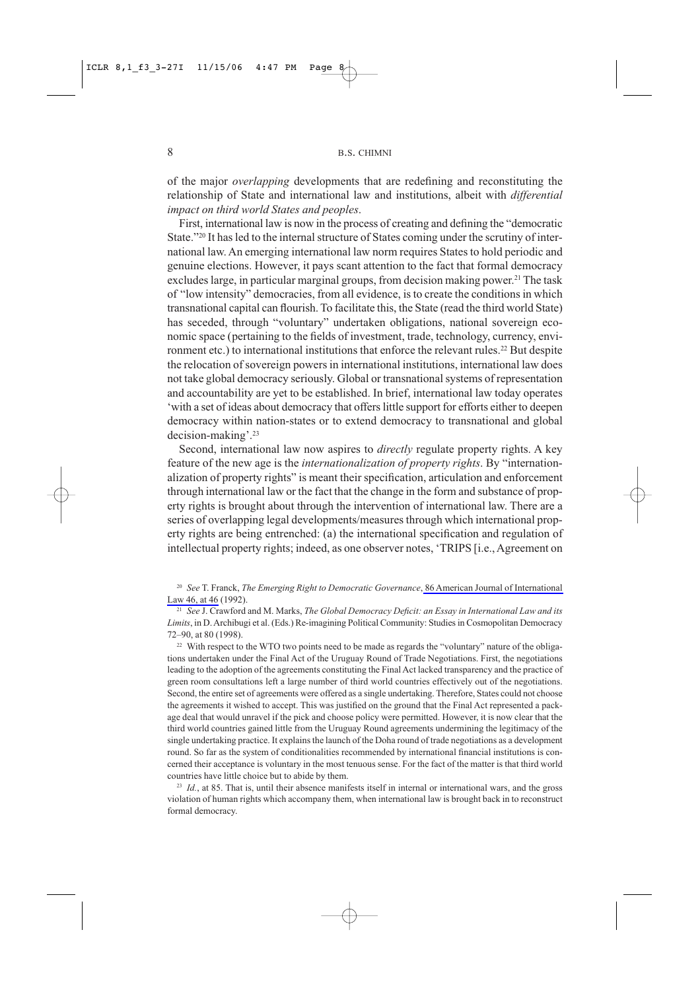of the major *overlapping* developments that are redefining and reconstituting the relationship of State and international law and institutions, albeit with differential impact on third world States and peoples.

First, international law is now in the process of creating and defining the "democratic" State."<sup>20</sup> It has led to the internal structure of States coming under the scrutiny of international law. An emerging international law norm requires States to hold periodic and genuine elections. However, it pays scant attention to the fact that formal democracy excludes large, in particular marginal groups, from decision making power.<sup>21</sup> The task of "low intensity" democracies, from all evidence, is to create the conditions in which transnational capital can flourish. To facilitate this, the State (read the third world State) has seceded, through "voluntary" undertaken obligations, national sovereign economic space (pertaining to the fields of investment, trade, technology, currency, environment etc.) to international institutions that enforce the relevant rules.<sup>22</sup> But despite the relocation of sovereign powers in international institutions, international law does not take global democracy seriously. Global or transnational systems of representation and accountability are yet to be established. In brief, international law today operates 'with a set of ideas about democracy that offers little support for efforts either to deepen democracy within nation-states or to extend democracy to transnational and global decision-making'.<sup>23</sup>

Second, international law now aspires to *directly* regulate property rights. A key feature of the new age is the *internationalization of property rights*. By "internationalization of property rights" is meant their specification, articulation and enforcement through international law or the fact that the change in the form and substance of property rights is brought about through the intervention of international law. There are a series of overlapping legal developments/measures through which international property rights are being entrenched: (a) the international specification and regulation of intellectual property rights; indeed, as one observer notes, 'TRIPS [i.e., Agreement on

<sup>20</sup> See T. Franck, *The Emerging Right to Democratic Governance*, 86 American Journal of International Law 46, at 46 (1992).

<sup>21</sup> See J. Crawford and M. Marks, The Global Democracy Deficit: an Essay in International Law and its Limits, in D. Archibugi et al. (Eds.) Re-imagining Political Community: Studies in Cosmopolitan Democracy 72-90, at 80 (1998).

<sup>22</sup> With respect to the WTO two points need to be made as regards the "voluntary" nature of the obligations undertaken under the Final Act of the Uruguay Round of Trade Negotiations. First, the negotiations leading to the adoption of the agreements constituting the Final Act lacked transparency and the practice of green room consultations left a large number of third world countries effectively out of the negotiations. Second, the entire set of agreements were offered as a single undertaking. Therefore, States could not choose the agreements it wished to accept. This was justified on the ground that the Final Act represented a package deal that would unravel if the pick and choose policy were permitted. However, it is now clear that the third world countries gained little from the Uruguay Round agreements undermining the legitimacy of the single undertaking practice. It explains the launch of the Doha round of trade negotiations as a development round. So far as the system of conditionalities recommended by international financial institutions is concerned their acceptance is voluntary in the most tenuous sense. For the fact of the matter is that third world countries have little choice but to abide by them.

 $^{23}$  Id., at 85. That is, until their absence manifests itself in internal or international wars, and the gross violation of human rights which accompany them, when international law is brought back in to reconstruct formal democracy.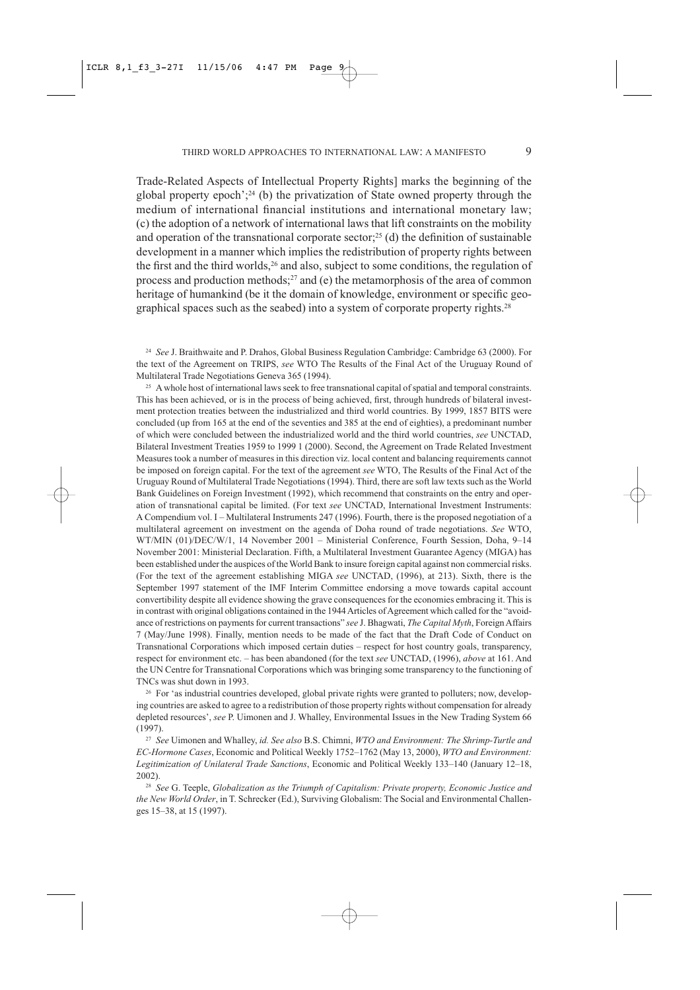Trade-Related Aspects of Intellectual Property Rights marks the beginning of the global property epoch';<sup>24</sup> (b) the privatization of State owned property through the medium of international financial institutions and international monetary law; (c) the adoption of a network of international laws that lift constraints on the mobility and operation of the transnational corporate sector;<sup>25</sup> (d) the definition of sustainable development in a manner which implies the redistribution of property rights between the first and the third worlds, $26$  and also, subject to some conditions, the regulation of process and production methods;<sup>27</sup> and (e) the metamorphosis of the area of common heritage of humankind (be it the domain of knowledge, environment or specific geographical spaces such as the seabed) into a system of corporate property rights.<sup>28</sup>

<sup>24</sup> See J. Braithwaite and P. Drahos, Global Business Regulation Cambridge: Cambridge 63 (2000). For the text of the Agreement on TRIPS, see WTO The Results of the Final Act of the Uruguay Round of Multilateral Trade Negotiations Geneva 365 (1994).

<sup>25</sup> A whole host of international laws seek to free transnational capital of spatial and temporal constraints. This has been achieved, or is in the process of being achieved, first, through hundreds of bilateral investment protection treaties between the industrialized and third world countries. By 1999, 1857 BITS were concluded (up from 165 at the end of the seventies and 385 at the end of eighties), a predominant number of which were concluded between the industrialized world and the third world countries, see UNCTAD, Bilateral Investment Treaties 1959 to 1999 1 (2000). Second, the Agreement on Trade Related Investment Measures took a number of measures in this direction viz. local content and balancing requirements cannot be imposed on foreign capital. For the text of the agreement see WTO, The Results of the Final Act of the Uruguay Round of Multilateral Trade Negotiations (1994). Third, there are soft law texts such as the World Bank Guidelines on Foreign Investment (1992), which recommend that constraints on the entry and operation of transnational capital be limited. (For text see UNCTAD, International Investment Instruments: A Compendium vol. I – Multilateral Instruments 247 (1996). Fourth, there is the proposed negotiation of a multilateral agreement on investment on the agenda of Doha round of trade negotiations. See WTO, WT/MIN (01)/DEC/W/1, 14 November 2001 - Ministerial Conference, Fourth Session, Doha, 9-14 November 2001: Ministerial Declaration. Fifth, a Multilateral Investment Guarantee Agency (MIGA) has been established under the auspices of the World Bank to insure foreign capital against non commercial risks. (For the text of the agreement establishing MIGA see UNCTAD, (1996), at 213). Sixth, there is the September 1997 statement of the IMF Interim Committee endorsing a move towards capital account convertibility despite all evidence showing the grave consequences for the economies embracing it. This is in contrast with original obligations contained in the 1944 Articles of Agreement which called for the "avoidance of restrictions on payments for current transactions" see J. Bhagwati, The Capital Myth, Foreign Affairs 7 (May/June 1998). Finally, mention needs to be made of the fact that the Draft Code of Conduct on Transnational Corporations which imposed certain duties – respect for host country goals, transparency, respect for environment etc. – has been abandoned (for the text see UNCTAD, (1996), above at 161. And the UN Centre for Transnational Corporations which was bringing some transparency to the functioning of TNCs was shut down in 1993.

<sup>26</sup> For 'as industrial countries developed, global private rights were granted to polluters; now, developing countries are asked to agree to a redistribution of those property rights without compensation for already depleted resources', see P. Uimonen and J. Whalley, Environmental Issues in the New Trading System 66  $(1997).$ 

<sup>27</sup> See Uimonen and Whalley, id. See also B.S. Chimni, WTO and Environment: The Shrimp-Turtle and EC-Hormone Cases, Economic and Political Weekly 1752-1762 (May 13, 2000), WTO and Environment: Legitimization of Unilateral Trade Sanctions, Economic and Political Weekly 133-140 (January 12-18,  $2002$ ).

<sup>28</sup> See G. Teeple, *Globalization as the Triumph of Capitalism: Private property, Economic Justice and* the New World Order, in T. Schrecker (Ed.), Surviving Globalism: The Social and Environmental Challenges 15-38, at 15 (1997).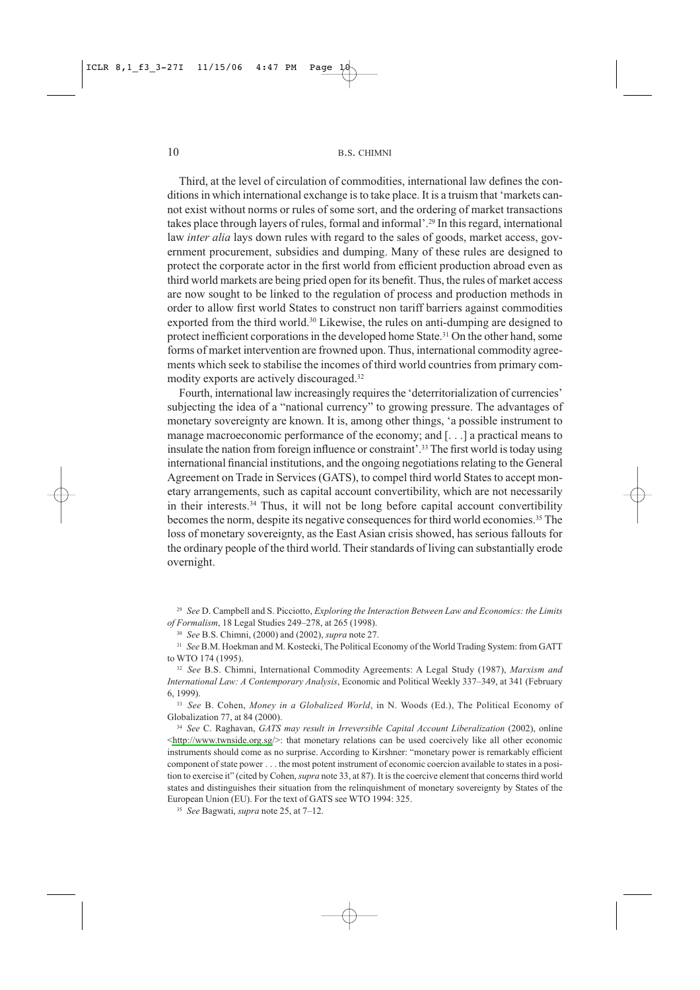Third, at the level of circulation of commodities, international law defines the conditions in which international exchange is to take place. It is a truism that 'markets cannot exist without norms or rules of some sort, and the ordering of market transactions takes place through layers of rules, formal and informal'.<sup>29</sup> In this regard, international law *inter alia* lays down rules with regard to the sales of goods, market access, government procurement, subsidies and dumping. Many of these rules are designed to protect the corporate actor in the first world from efficient production abroad even as third world markets are being pried open for its benefit. Thus, the rules of market access are now sought to be linked to the regulation of process and production methods in order to allow first world States to construct non tariff barriers against commodities exported from the third world.<sup>30</sup> Likewise, the rules on anti-dumping are designed to protect inefficient corporations in the developed home State.<sup>31</sup> On the other hand, some forms of market intervention are frowned upon. Thus, international commodity agreements which seek to stabilise the incomes of third world countries from primary commodity exports are actively discouraged.<sup>32</sup>

Fourth, international law increasingly requires the 'deterritorialization of currencies' subjecting the idea of a "national currency" to growing pressure. The advantages of monetary sovereignty are known. It is, among other things, 'a possible instrument to manage macroeconomic performance of the economy; and [...] a practical means to insulate the nation from foreign influence or constraint'.<sup>33</sup> The first world is today using international financial institutions, and the ongoing negotiations relating to the General Agreement on Trade in Services (GATS), to compel third world States to accept monetary arrangements, such as capital account convertibility, which are not necessarily in their interests.<sup>34</sup> Thus, it will not be long before capital account convertibility becomes the norm, despite its negative consequences for third world economies.<sup>35</sup> The loss of monetary sovereignty, as the East Asian crisis showed, has serious fallouts for the ordinary people of the third world. Their standards of living can substantially erode overnight.

<sup>29</sup> See D. Campbell and S. Picciotto, *Exploring the Interaction Between Law and Economics: the Limits* of Formalism, 18 Legal Studies 249-278, at 265 (1998).

<sup>30</sup> See B.S. Chimni, (2000) and (2002), *supra* note 27.

<sup>31</sup> See B.M. Hoekman and M. Kostecki, The Political Economy of the World Trading System: from GATT to WTO 174 (1995).

<sup>32</sup> See B.S. Chimni, International Commodity Agreements: A Legal Study (1987), Marxism and International Law: A Contemporary Analysis, Economic and Political Weekly 337-349, at 341 (February  $(6, 1999)$ .

<sup>33</sup> See B. Cohen, Money in a Globalized World, in N. Woods (Ed.), The Political Economy of Globalization 77, at 84 (2000).

<sup>34</sup> See C. Raghavan, GATS may result in Irreversible Capital Account Liberalization (2002), online <http://www.twnside.org.sg/>: that monetary relations can be used coercively like all other economic instruments should come as no surprise. According to Kirshner: "monetary power is remarkably efficient component of state power . . . the most potent instrument of economic coercion available to states in a position to exercise it" (cited by Cohen, *supra* note 33, at 87). It is the coercive element that concerns third world states and distinguishes their situation from the relinquishment of monetary sovereignty by States of the European Union (EU). For the text of GATS see WTO 1994: 325.

<sup>35</sup> See Bagwati, *supra* note 25, at 7-12.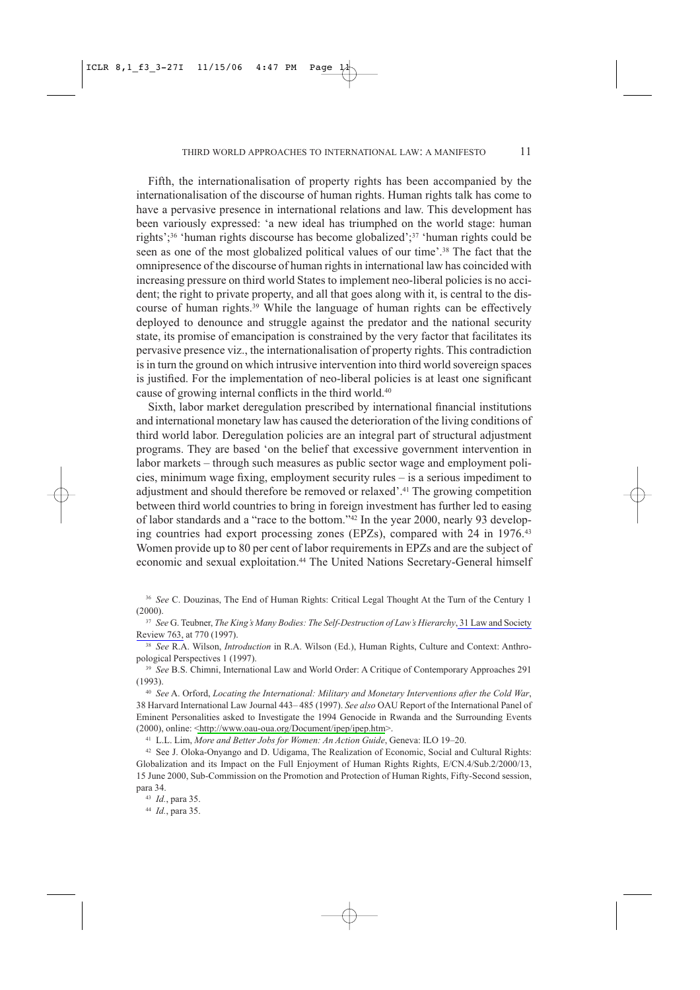Fifth, the internationalisation of property rights has been accompanied by the internationalisation of the discourse of human rights. Human rights talk has come to have a pervasive presence in international relations and law. This development has been variously expressed: 'a new ideal has triumphed on the world stage: human rights';<sup>36</sup> 'human rights discourse has become globalized';<sup>37</sup> 'human rights could be seen as one of the most globalized political values of our time'.<sup>38</sup> The fact that the omnipresence of the discourse of human rights in international law has coincided with increasing pressure on third world States to implement neo-liberal policies is no accident; the right to private property, and all that goes along with it, is central to the discourse of human rights.<sup>39</sup> While the language of human rights can be effectively deployed to denounce and struggle against the predator and the national security state, its promise of emancipation is constrained by the very factor that facilitates its pervasive presence viz., the internationalisation of property rights. This contradiction is in turn the ground on which intrusive intervention into third world sovereign spaces is justified. For the implementation of neo-liberal policies is at least one significant cause of growing internal conflicts in the third world.<sup>40</sup>

Sixth, labor market deregulation prescribed by international financial institutions and international monetary law has caused the deterioration of the living conditions of third world labor. Deregulation policies are an integral part of structural adjustment programs. They are based 'on the belief that excessive government intervention in labor markets – through such measures as public sector wage and employment policies, minimum wage fixing, employment security rules  $-$  is a serious impediment to adjustment and should therefore be removed or relaxed'.<sup>41</sup> The growing competition between third world countries to bring in foreign investment has further led to easing of labor standards and a "race to the bottom."<sup>42</sup> In the year 2000, nearly 93 developing countries had export processing zones (EPZs), compared with 24 in 1976.<sup>43</sup> Women provide up to 80 per cent of labor requirements in EPZs and are the subject of economic and sexual exploitation.<sup>44</sup> The United Nations Secretary-General himself

<sup>36</sup> See C. Douzinas, The End of Human Rights: Critical Legal Thought At the Turn of the Century 1  $(2000).$ 

<sup>37</sup> See G. Teubner, *The King's Many Bodies: The Self-Destruction of Law's Hierarchy*, 31 Law and Society Review 763, at 770 (1997).

<sup>38</sup> See R.A. Wilson, *Introduction* in R.A. Wilson (Ed.), Human Rights, Culture and Context: Anthropological Perspectives 1 (1997).

<sup>39</sup> See B.S. Chimni, International Law and World Order: A Critique of Contemporary Approaches 291  $(1993).$ 

<sup>40</sup> See A. Orford, *Locating the International: Military and Monetary Interventions after the Cold War,* 38 Harvard International Law Journal 443-485 (1997). See also OAU Report of the International Panel of Eminent Personalities asked to Investigate the 1994 Genocide in Rwanda and the Surrounding Events (2000), online: <http://www.oau-oua.org/Document/ipep/ipep.htm>.

<sup>41</sup> L.L. Lim, More and Better Jobs for Women: An Action Guide, Geneva: ILO 19-20.

<sup>42</sup> See J. Oloka-Onyango and D. Udigama, The Realization of Economic, Social and Cultural Rights: Globalization and its Impact on the Full Enjoyment of Human Rights Rights, E/CN.4/Sub.2/2000/13, 15 June 2000, Sub-Commission on the Promotion and Protection of Human Rights, Fifty-Second session, para 34.

<sup>43</sup> Id., para 35.

 $44$  *Id.*, para 35.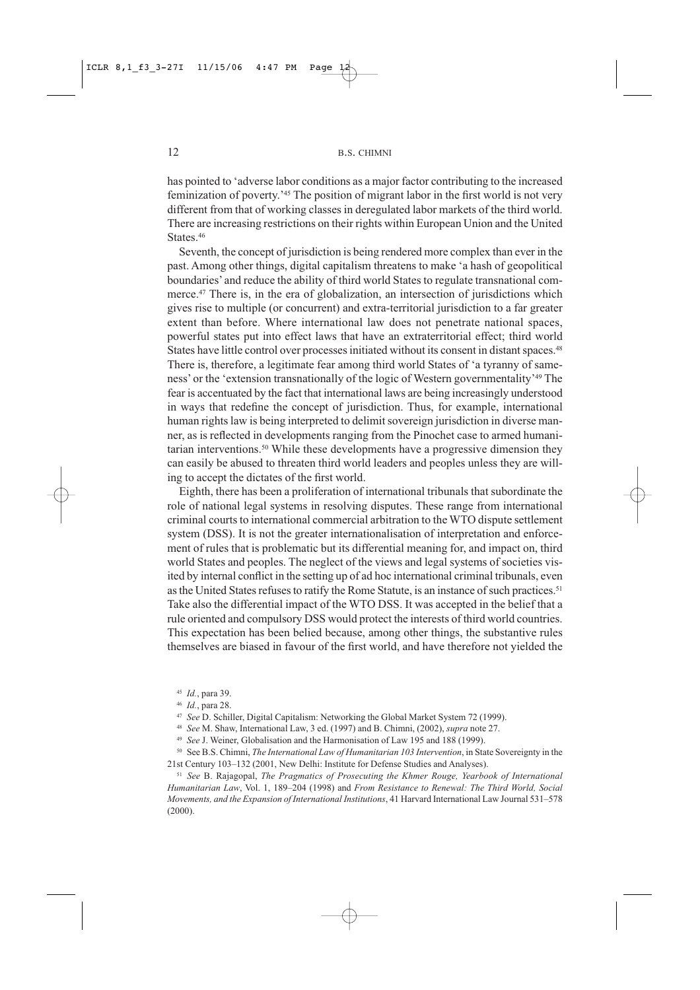has pointed to 'adverse labor conditions as a major factor contributing to the increased feminization of poverty.<sup>245</sup> The position of migrant labor in the first world is not very different from that of working classes in deregulated labor markets of the third world. There are increasing restrictions on their rights within European Union and the United States.<sup>46</sup>

Seventh, the concept of jurisdiction is being rendered more complex than ever in the past. Among other things, digital capitalism threatens to make 'a hash of geopolitical boundaries' and reduce the ability of third world States to regulate transnational commerce.<sup>47</sup> There is, in the era of globalization, an intersection of jurisdictions which gives rise to multiple (or concurrent) and extra-territorial jurisdiction to a far greater extent than before. Where international law does not penetrate national spaces, powerful states put into effect laws that have an extraterritorial effect; third world States have little control over processes initiated without its consent in distant spaces.<sup>48</sup> There is, therefore, a legitimate fear among third world States of 'a tyranny of sameness' or the 'extension transnationally of the logic of Western governmentality<sup>149</sup> The fear is accentuated by the fact that international laws are being increasingly understood in ways that redefine the concept of jurisdiction. Thus, for example, international human rights law is being interpreted to delimit sovereign jurisdiction in diverse manner, as is reflected in developments ranging from the Pinochet case to armed humanitarian interventions.<sup>50</sup> While these developments have a progressive dimension they can easily be abused to threaten third world leaders and peoples unless they are willing to accept the dictates of the first world.

Eighth, there has been a proliferation of international tribunals that subordinate the role of national legal systems in resolving disputes. These range from international criminal courts to international commercial arbitration to the WTO dispute settlement system (DSS). It is not the greater internationalisation of interpretation and enforcement of rules that is problematic but its differential meaning for, and impact on, third world States and peoples. The neglect of the views and legal systems of societies visited by internal conflict in the setting up of ad hoc international criminal tribunals, even as the United States refuses to ratify the Rome Statute, is an instance of such practices.<sup>51</sup> Take also the differential impact of the WTO DSS. It was accepted in the belief that a rule oriented and compulsory DSS would protect the interests of third world countries. This expectation has been belied because, among other things, the substantive rules themselves are biased in favour of the first world, and have therefore not yielded the

<sup>51</sup> See B. Rajagopal, The Pragmatics of Prosecuting the Khmer Rouge, Yearbook of International Humanitarian Law, Vol. 1, 189-204 (1998) and From Resistance to Renewal: The Third World, Social Movements, and the Expansion of International Institutions, 41 Harvard International Law Journal 531-578  $(2000).$ 

 $45$  *Id.*, para 39.

 $46$  *Id.*, para 28.

<sup>&</sup>lt;sup>47</sup> See D. Schiller, Digital Capitalism: Networking the Global Market System 72 (1999).

<sup>&</sup>lt;sup>48</sup> See M. Shaw, International Law, 3 ed. (1997) and B. Chimni, (2002), *supra* note 27.

<sup>&</sup>lt;sup>49</sup> See J. Weiner, Globalisation and the Harmonisation of Law 195 and 188 (1999).

<sup>&</sup>lt;sup>50</sup> See B.S. Chimni, *The International Law of Humanitarian 103 Intervention*, in State Sovereignty in the 21st Century 103-132 (2001, New Delhi: Institute for Defense Studies and Analyses).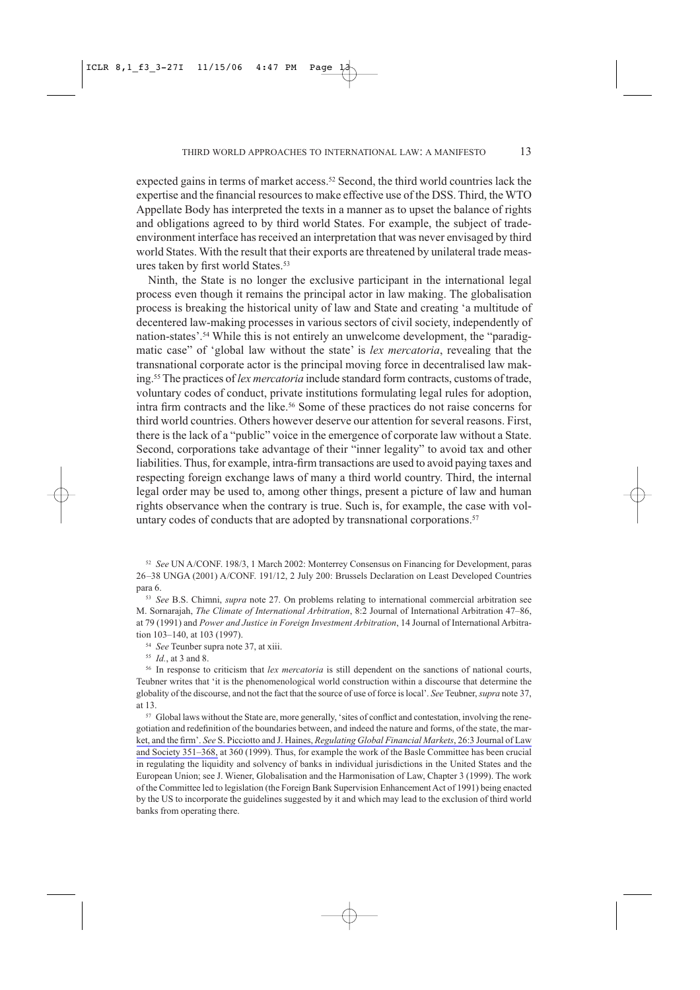expected gains in terms of market access.<sup>52</sup> Second, the third world countries lack the expertise and the financial resources to make effective use of the DSS. Third, the WTO Appellate Body has interpreted the texts in a manner as to upset the balance of rights and obligations agreed to by third world States. For example, the subject of tradeenvironment interface has received an interpretation that was never envisaged by third world States. With the result that their exports are threatened by unilateral trade measures taken by first world States.<sup>53</sup>

Ninth, the State is no longer the exclusive participant in the international legal process even though it remains the principal actor in law making. The globalisation process is breaking the historical unity of law and State and creating 'a multitude of decentered law-making processes in various sectors of civil society, independently of nation-states'.<sup>54</sup> While this is not entirely an unwelcome development, the "paradigmatic case" of 'global law without the state' is lex mercatoria, revealing that the transnational corporate actor is the principal moving force in decentralised law making.<sup>55</sup> The practices of *lex mercatoria* include standard form contracts, customs of trade, voluntary codes of conduct, private institutions formulating legal rules for adoption, intra firm contracts and the like.<sup>56</sup> Some of these practices do not raise concerns for third world countries. Others however deserve our attention for several reasons. First, there is the lack of a "public" voice in the emergence of corporate law without a State. Second, corporations take advantage of their "inner legality" to avoid tax and other liabilities. Thus, for example, intra-firm transactions are used to avoid paying taxes and respecting foreign exchange laws of many a third world country. Third, the internal legal order may be used to, among other things, present a picture of law and human rights observance when the contrary is true. Such is, for example, the case with voluntary codes of conducts that are adopted by transnational corporations.<sup>57</sup>

<sup>52</sup> See UN A/CONF. 198/3, 1 March 2002: Monterrey Consensus on Financing for Development, paras 26-38 UNGA (2001) A/CONF. 191/12, 2 July 200: Brussels Declaration on Least Developed Countries para 6.

<sup>53</sup> See B.S. Chimni, *supra* note 27. On problems relating to international commercial arbitration see M. Sornarajah, The Climate of International Arbitration, 8:2 Journal of International Arbitration 47-86, at 79 (1991) and Power and Justice in Foreign Investment Arbitration, 14 Journal of International Arbitration 103-140, at 103 (1997).

<sup>54</sup> See Teunber supra note 37, at xiii.

 $55$  *Id.*, at 3 and 8.

<sup>56</sup> In response to criticism that lex mercatoria is still dependent on the sanctions of national courts, Teubner writes that 'it is the phenomenological world construction within a discourse that determine the globality of the discourse, and not the fact that the source of use of force is local'. See Teubner, supra note 37, at 13.

<sup>57</sup> Global laws without the State are, more generally, 'sites of conflict and contestation, involving the renegotiation and redefinition of the boundaries between, and indeed the nature and forms, of the state, the market, and the firm'. See S. Picciotto and J. Haines, Regulating Global Financial Markets, 26:3 Journal of Law and Society 351-368, at 360 (1999). Thus, for example the work of the Basle Committee has been crucial in regulating the liquidity and solvency of banks in individual jurisdictions in the United States and the European Union; see J. Wiener, Globalisation and the Harmonisation of Law, Chapter 3 (1999). The work of the Committee led to legislation (the Foreign Bank Supervision Enhancement Act of 1991) being enacted by the US to incorporate the guidelines suggested by it and which may lead to the exclusion of third world banks from operating there.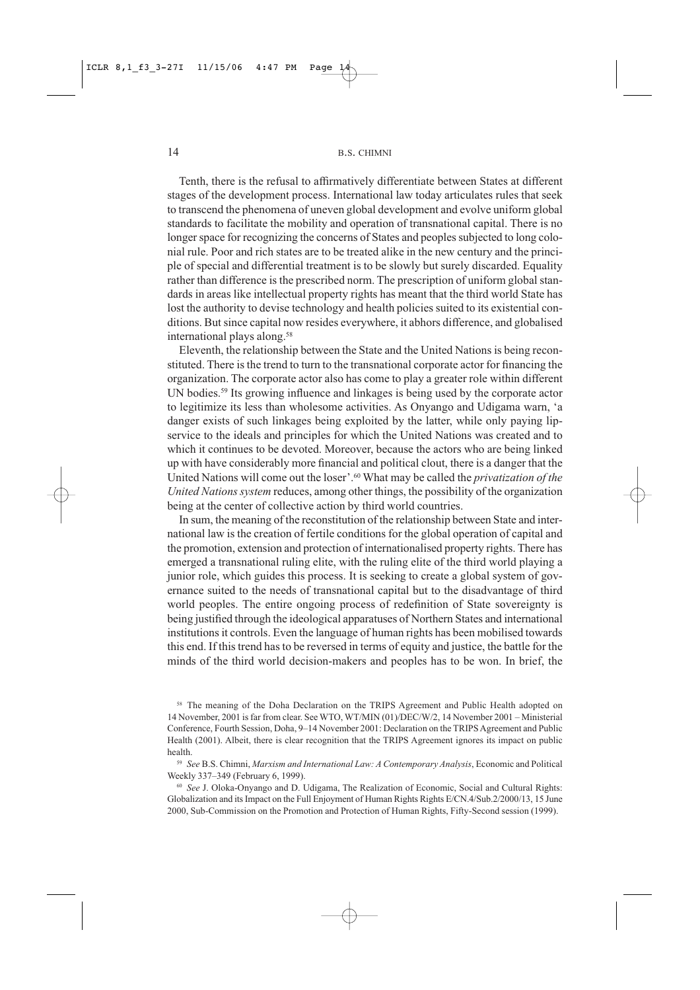Tenth, there is the refusal to affirmatively differentiate between States at different stages of the development process. International law today articulates rules that seek to transcend the phenomena of uneven global development and evolve uniform global standards to facilitate the mobility and operation of transnational capital. There is no longer space for recognizing the concerns of States and peoples subjected to long colonial rule. Poor and rich states are to be treated alike in the new century and the principle of special and differential treatment is to be slowly but surely discarded. Equality rather than difference is the prescribed norm. The prescription of uniform global standards in areas like intellectual property rights has meant that the third world State has lost the authority to devise technology and health policies suited to its existential conditions. But since capital now resides everywhere, it abhors difference, and globalised international plays along.<sup>58</sup>

Eleventh, the relationship between the State and the United Nations is being reconstituted. There is the trend to turn to the transnational corporate actor for financing the organization. The corporate actor also has come to play a greater role within different UN bodies.<sup>59</sup> Its growing influence and linkages is being used by the corporate actor to legitimize its less than wholesome activities. As Onyango and Udigama warn, 'a danger exists of such linkages being exploited by the latter, while only paying lipservice to the ideals and principles for which the United Nations was created and to which it continues to be devoted. Moreover, because the actors who are being linked up with have considerably more financial and political clout, there is a danger that the United Nations will come out the loser'.<sup>60</sup> What may be called the *privatization of the* United Nations system reduces, among other things, the possibility of the organization being at the center of collective action by third world countries.

In sum, the meaning of the reconstitution of the relationship between State and international law is the creation of fertile conditions for the global operation of capital and the promotion, extension and protection of internationalised property rights. There has emerged a transnational ruling elite, with the ruling elite of the third world playing a junior role, which guides this process. It is seeking to create a global system of governance suited to the needs of transnational capital but to the disadvantage of third world peoples. The entire ongoing process of redefinition of State sovereignty is being justified through the ideological apparatuses of Northern States and international institutions it controls. Even the language of human rights has been mobilised towards this end. If this trend has to be reversed in terms of equity and justice, the battle for the minds of the third world decision-makers and peoples has to be won. In brief, the

<sup>58</sup> The meaning of the Doha Declaration on the TRIPS Agreement and Public Health adopted on 14 November, 2001 is far from clear. See WTO, WT/MIN (01)/DEC/W/2, 14 November 2001 - Ministerial Conference, Fourth Session, Doha, 9-14 November 2001: Declaration on the TRIPS Agreement and Public Health (2001). Albeit, there is clear recognition that the TRIPS Agreement ignores its impact on public health.

<sup>59</sup> See B.S. Chimni, Marxism and International Law: A Contemporary Analysis, Economic and Political Weekly 337-349 (February 6, 1999).

<sup>60</sup> See J. Oloka-Onyango and D. Udigama, The Realization of Economic, Social and Cultural Rights: Globalization and its Impact on the Full Enjoyment of Human Rights Rights E/CN.4/Sub.2/2000/13, 15 June 2000, Sub-Commission on the Promotion and Protection of Human Rights, Fifty-Second session (1999).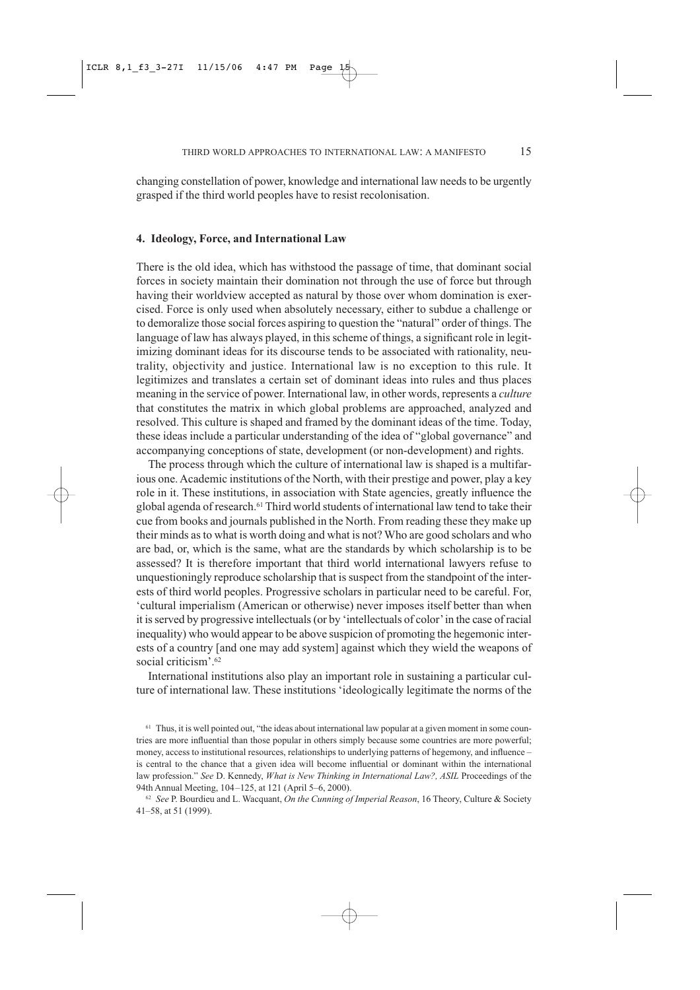changing constellation of power, knowledge and international law needs to be urgently grasped if the third world peoples have to resist recolonisation.

### 4. Ideology, Force, and International Law

There is the old idea, which has withstood the passage of time, that dominant social forces in society maintain their domination not through the use of force but through having their worldview accepted as natural by those over whom domination is exercised. Force is only used when absolutely necessary, either to subdue a challenge or to demoralize those social forces aspiring to question the "natural" order of things. The language of law has always played, in this scheme of things, a significant role in legitimizing dominant ideas for its discourse tends to be associated with rationality, neutrality, objectivity and justice. International law is no exception to this rule. It legitimizes and translates a certain set of dominant ideas into rules and thus places meaning in the service of power. International law, in other words, represents a *culture* that constitutes the matrix in which global problems are approached, analyzed and resolved. This culture is shaped and framed by the dominant ideas of the time. Today, these ideas include a particular understanding of the idea of "global governance" and accompanying conceptions of state, development (or non-development) and rights.

The process through which the culture of international law is shaped is a multifarious one. Academic institutions of the North, with their prestige and power, play a key role in it. These institutions, in association with State agencies, greatly influence the global agenda of research.<sup>61</sup> Third world students of international law tend to take their cue from books and journals published in the North. From reading these they make up their minds as to what is worth doing and what is not? Who are good scholars and who are bad, or, which is the same, what are the standards by which scholarship is to be assessed? It is therefore important that third world international lawyers refuse to unquestioningly reproduce scholarship that is suspect from the standpoint of the interests of third world peoples. Progressive scholars in particular need to be careful. For, 'cultural imperialism (American or otherwise) never imposes itself better than when it is served by progressive intellectuals (or by 'intellectuals of color' in the case of racial inequality) who would appear to be above suspicion of promoting the hegemonic interests of a country [and one may add system] against which they wield the weapons of social criticism'.<sup>62</sup>

International institutions also play an important role in sustaining a particular culture of international law. These institutions 'ideologically legitimate the norms of the

 $61$  Thus, it is well pointed out, "the ideas about international law popular at a given moment in some countries are more influential than those popular in others simply because some countries are more powerful; money, access to institutional resources, relationships to underlying patterns of hegemony, and influence – is central to the chance that a given idea will become influential or dominant within the international law profession." See D. Kennedy, What is New Thinking in International Law?, ASIL Proceedings of the 94th Annual Meeting, 104-125, at 121 (April 5-6, 2000).

 $62$  See P. Bourdieu and L. Wacquant, On the Cunning of Imperial Reason, 16 Theory, Culture & Society 41-58, at 51 (1999).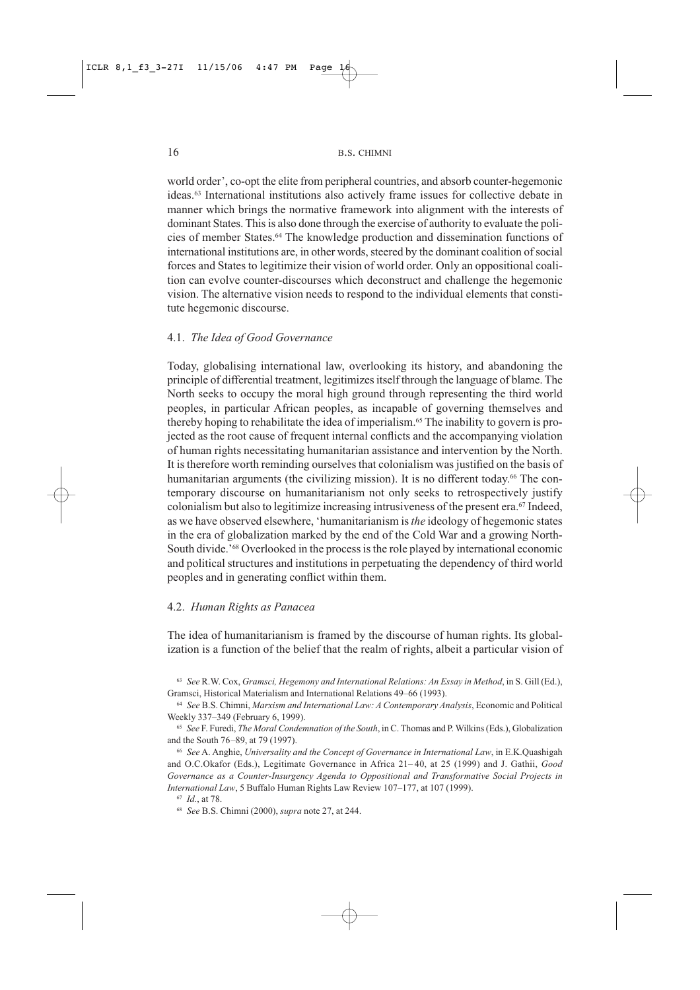world order', co-opt the elite from peripheral countries, and absorb counter-hegemonic ideas.<sup>63</sup> International institutions also actively frame issues for collective debate in manner which brings the normative framework into alignment with the interests of dominant States. This is also done through the exercise of authority to evaluate the policies of member States.<sup>64</sup> The knowledge production and dissemination functions of international institutions are, in other words, steered by the dominant coalition of social forces and States to legitimize their vision of world order. Only an oppositional coalition can evolve counter-discourses which deconstruct and challenge the hegemonic vision. The alternative vision needs to respond to the individual elements that constitute hegemonic discourse.

## 4.1. The Idea of Good Governance

Today, globalising international law, overlooking its history, and abandoning the principle of differential treatment, legitimizes itself through the language of blame. The North seeks to occupy the moral high ground through representing the third world peoples, in particular African peoples, as incapable of governing themselves and thereby hoping to rehabilitate the idea of imperialism.<sup>65</sup> The inability to govern is projected as the root cause of frequent internal conflicts and the accompanying violation of human rights necessitating humanitarian assistance and intervention by the North. It is therefore worth reminding ourselves that colonialism was justified on the basis of humanitarian arguments (the civilizing mission). It is no different today.<sup>66</sup> The contemporary discourse on humanitarianism not only seeks to retrospectively justify colonialism but also to legitimize increasing intrusiveness of the present era.<sup>67</sup> Indeed, as we have observed elsewhere, 'humanitarianism is the ideology of hegemonic states in the era of globalization marked by the end of the Cold War and a growing North-South divide.<sup>768</sup> Overlooked in the process is the role played by international economic and political structures and institutions in perpetuating the dependency of third world peoples and in generating conflict within them.

### 4.2. Human Rights as Panacea

The idea of humanitarianism is framed by the discourse of human rights. Its globalization is a function of the belief that the realm of rights, albeit a particular vision of

 $63$  See R.W. Cox, Gramsci, Hegemony and International Relations: An Essay in Method, in S. Gill (Ed.), Gramsci, Historical Materialism and International Relations 49-66 (1993).

 $64$  See B.S. Chimni, Marxism and International Law: A Contemporary Analysis, Economic and Political Weekly 337-349 (February 6, 1999).

<sup>65</sup> See F. Furedi, *The Moral Condemnation of the South*, in C. Thomas and P. Wilkins (Eds.), Globalization and the South 76–89, at 79 (1997).

<sup>66</sup> See A. Anghie, Universality and the Concept of Governance in International Law, in E.K.Quashigah and O.C.Okafor (Eds.), Legitimate Governance in Africa 21-40, at 25 (1999) and J. Gathii, Good Governance as a Counter-Insurgency Agenda to Oppositional and Transformative Social Projects in International Law, 5 Buffalo Human Rights Law Review 107-177, at 107 (1999).

 $67$  *Id.*, at 78.

<sup>68</sup> See B.S. Chimni (2000), *supra* note 27, at 244.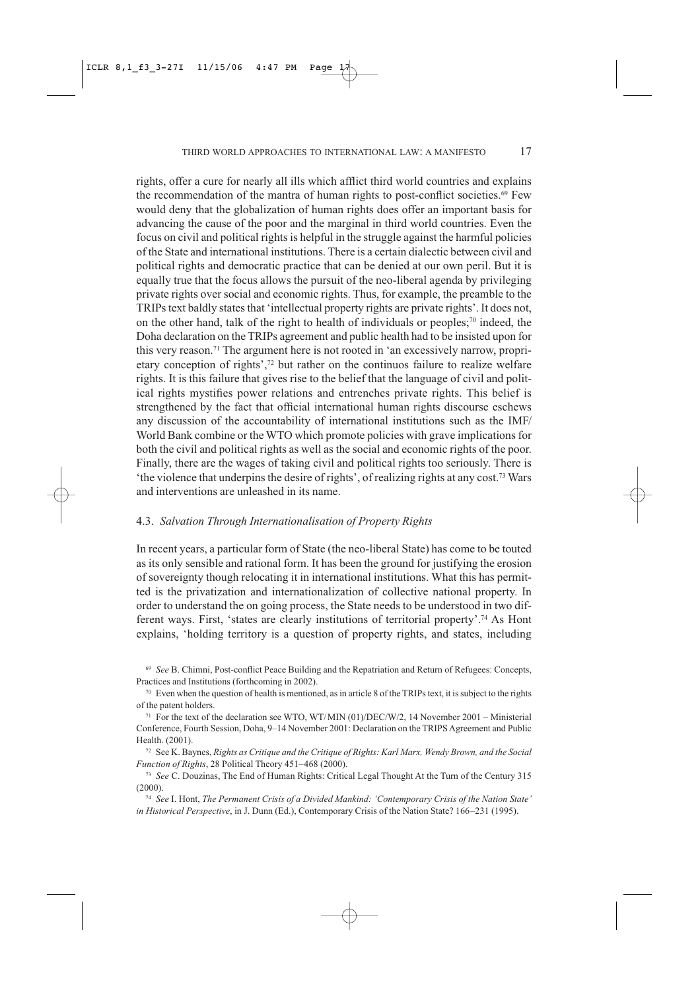rights, offer a cure for nearly all ills which afflict third world countries and explains the recommendation of the mantra of human rights to post-conflict societies.<sup>69</sup> Few would deny that the globalization of human rights does offer an important basis for advancing the cause of the poor and the marginal in third world countries. Even the focus on civil and political rights is helpful in the struggle against the harmful policies of the State and international institutions. There is a certain dialectic between civil and political rights and democratic practice that can be denied at our own peril. But it is equally true that the focus allows the pursuit of the neo-liberal agenda by privileging private rights over social and economic rights. Thus, for example, the preamble to the TRIPs text baldly states that 'intellectual property rights are private rights'. It does not, on the other hand, talk of the right to health of individuals or peoples;<sup>70</sup> indeed, the Doha declaration on the TRIPs agreement and public health had to be insisted upon for this very reason.<sup>71</sup> The argument here is not rooted in 'an excessively narrow, proprietary conception of rights',<sup>72</sup> but rather on the continuos failure to realize welfare rights. It is this failure that gives rise to the belief that the language of civil and political rights mystifies power relations and entrenches private rights. This belief is strengthened by the fact that official international human rights discourse eschews any discussion of the accountability of international institutions such as the IMF/ World Bank combine or the WTO which promote policies with grave implications for both the civil and political rights as well as the social and economic rights of the poor. Finally, there are the wages of taking civil and political rights too seriously. There is 'the violence that underpins the desire of rights', of realizing rights at any cost.<sup>73</sup> Wars and interventions are unleashed in its name.

### 4.3. Salvation Through Internationalisation of Property Rights

In recent years, a particular form of State (the neo-liberal State) has come to be touted as its only sensible and rational form. It has been the ground for justifying the erosion of sovereignty though relocating it in international institutions. What this has permitted is the privatization and internationalization of collective national property. In order to understand the on going process, the State needs to be understood in two different ways. First, 'states are clearly institutions of territorial property'.<sup>74</sup> As Hont explains, 'holding territory is a question of property rights, and states, including

<sup>69</sup> See B. Chimni, Post-conflict Peace Building and the Repatriation and Return of Refugees: Concepts, Practices and Institutions (forthcoming in 2002).

70 Even when the question of health is mentioned, as in article 8 of the TRIPs text, it is subject to the rights of the patent holders.

<sup>71</sup> For the text of the declaration see WTO, WT/MIN (01)/DEC/W/2, 14 November 2001 – Ministerial Conference, Fourth Session, Doha, 9-14 November 2001: Declaration on the TRIPS Agreement and Public Health. (2001).

<sup>72</sup> See K. Baynes, *Rights as Critique and the Critique of Rights: Karl Marx, Wendy Brown, and the Social* Function of Rights, 28 Political Theory 451-468 (2000).

<sup>73</sup> See C. Douzinas, The End of Human Rights: Critical Legal Thought At the Turn of the Century 315  $(2000).$ 

<sup>74</sup> See I. Hont, The Permanent Crisis of a Divided Mankind: 'Contemporary Crisis of the Nation State' in Historical Perspective, in J. Dunn (Ed.), Contemporary Crisis of the Nation State? 166–231 (1995).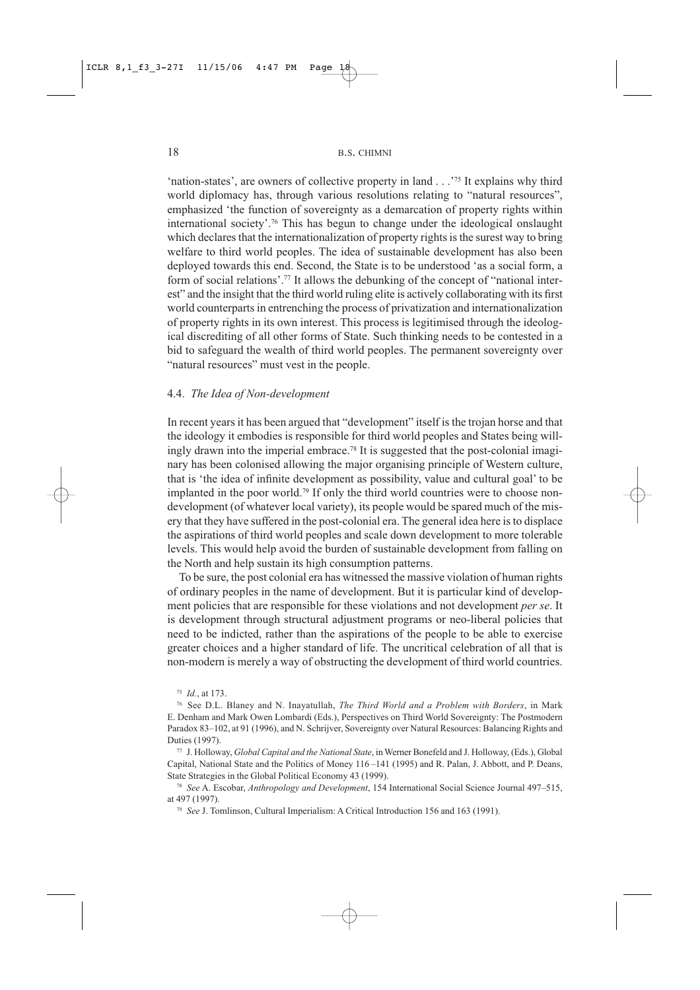'nation-states', are owners of collective property in land . . . . 75 It explains why third world diplomacy has, through various resolutions relating to "natural resources", emphasized 'the function of sovereignty as a demarcation of property rights within international society'.<sup>76</sup> This has begun to change under the ideological onslaught which declares that the internationalization of property rights is the surest way to bring welfare to third world peoples. The idea of sustainable development has also been deployed towards this end. Second, the State is to be understood 'as a social form, a form of social relations'.<sup>77</sup> It allows the debunking of the concept of "national interest" and the insight that the third world ruling elite is actively collaborating with its first world counterparts in entrenching the process of privatization and internationalization of property rights in its own interest. This process is legitimised through the ideological discrediting of all other forms of State. Such thinking needs to be contested in a bid to safeguard the wealth of third world peoples. The permanent sovereignty over "natural resources" must vest in the people.

### 4.4. The Idea of Non-development

In recent years it has been argued that "development" itself is the trojan horse and that the ideology it embodies is responsible for third world peoples and States being willingly drawn into the imperial embrace.<sup>78</sup> It is suggested that the post-colonial imaginary has been colonised allowing the major organising principle of Western culture, that is 'the idea of infinite development as possibility, value and cultural goal' to be implanted in the poor world.<sup>79</sup> If only the third world countries were to choose nondevelopment (of whatever local variety), its people would be spared much of the misery that they have suffered in the post-colonial era. The general idea here is to displace the aspirations of third world peoples and scale down development to more tolerable levels. This would help avoid the burden of sustainable development from falling on the North and help sustain its high consumption patterns.

To be sure, the post colonial era has witnessed the massive violation of human rights of ordinary peoples in the name of development. But it is particular kind of development policies that are responsible for these violations and not development *per se*. It is development through structural adjustment programs or neo-liberal policies that need to be indicted, rather than the aspirations of the people to be able to exercise greater choices and a higher standard of life. The uncritical celebration of all that is non-modern is merely a way of obstructing the development of third world countries.

 $75$  *Id.*, at 173.

<sup>76</sup> See D.L. Blaney and N. Inayatullah, *The Third World and a Problem with Borders*, in Mark E. Denham and Mark Owen Lombardi (Eds.), Perspectives on Third World Sovereignty: The Postmodern Paradox 83-102, at 91 (1996), and N. Schrijver, Sovereignty over Natural Resources: Balancing Rights and Duties (1997).

77 J. Holloway, Global Capital and the National State, in Werner Bonefeld and J. Holloway, (Eds.), Global Capital, National State and the Politics of Money 116–141 (1995) and R. Palan, J. Abbott, and P. Deans, State Strategies in the Global Political Economy 43 (1999).

<sup>78</sup> See A. Escobar, Anthropology and Development, 154 International Social Science Journal 497-515, at 497 (1997).

<sup>79</sup> See J. Tomlinson, Cultural Imperialism: A Critical Introduction 156 and 163 (1991).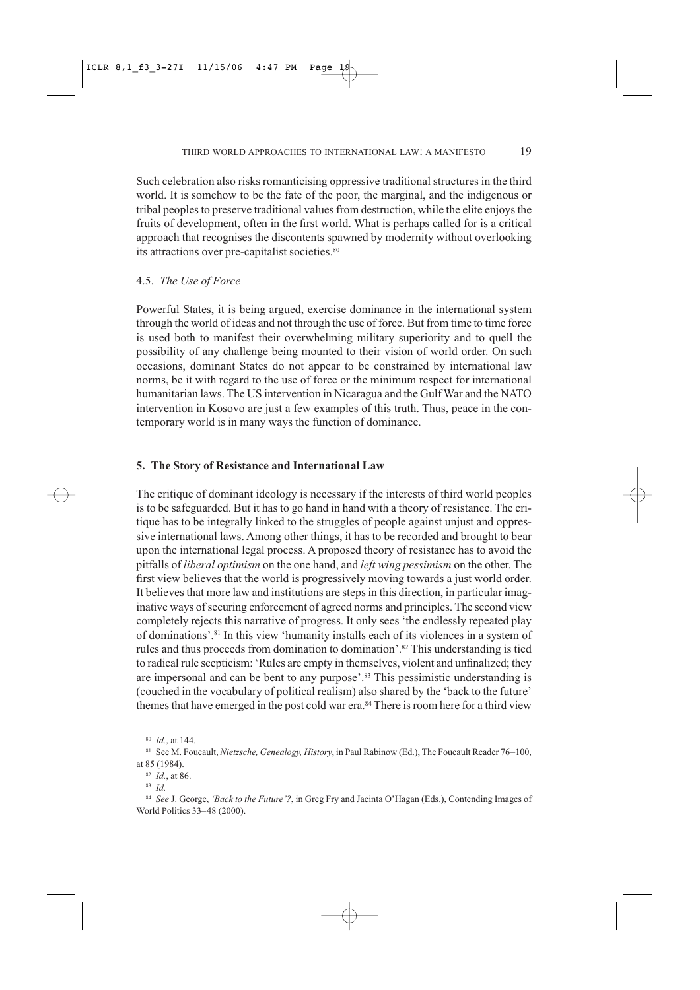Such celebration also risks romanticising oppressive traditional structures in the third world. It is somehow to be the fate of the poor, the marginal, and the indigenous or tribal peoples to preserve traditional values from destruction, while the elite enjoys the fruits of development, often in the first world. What is perhaps called for is a critical approach that recognises the discontents spawned by modernity without overlooking its attractions over pre-capitalist societies.<sup>80</sup>

# 4.5. The Use of Force

Powerful States, it is being argued, exercise dominance in the international system through the world of ideas and not through the use of force. But from time to time force is used both to manifest their overwhelming military superiority and to quell the possibility of any challenge being mounted to their vision of world order. On such occasions, dominant States do not appear to be constrained by international law norms, be it with regard to the use of force or the minimum respect for international humanitarian laws. The US intervention in Nicaragua and the Gulf War and the NATO intervention in Kosovo are just a few examples of this truth. Thus, peace in the contemporary world is in many ways the function of dominance.

## 5. The Story of Resistance and International Law

The critique of dominant ideology is necessary if the interests of third world peoples is to be safeguarded. But it has to go hand in hand with a theory of resistance. The critique has to be integrally linked to the struggles of people against unjust and oppressive international laws. Among other things, it has to be recorded and brought to bear upon the international legal process. A proposed theory of resistance has to avoid the pitfalls of *liberal optimism* on the one hand, and *left wing pessimism* on the other. The first view believes that the world is progressively moving towards a just world order. It believes that more law and institutions are steps in this direction, in particular imaginative ways of securing enforcement of agreed norms and principles. The second view completely rejects this narrative of progress. It only sees 'the endlessly repeated play of dominations'.<sup>81</sup> In this view 'humanity installs each of its violences in a system of rules and thus proceeds from domination to domination'.<sup>82</sup> This understanding is tied to radical rule scepticism: 'Rules are empty in themselves, violent and unfinalized; they are impersonal and can be bent to any purpose'.<sup>83</sup> This pessimistic understanding is (couched in the vocabulary of political realism) also shared by the 'back to the future' themes that have emerged in the post cold war era.<sup>84</sup> There is room here for a third view

 $80$  *Id.*, at 144.

<sup>&</sup>lt;sup>81</sup> See M. Foucault, *Nietzsche, Genealogy, History*, in Paul Rabinow (Ed.), The Foucault Reader 76–100, at 85 (1984).

 $82$  *Id.*, at 86.

 $83$  *Id.* 

<sup>&</sup>lt;sup>84</sup> See J. George, 'Back to the Future'?, in Greg Fry and Jacinta O'Hagan (Eds.), Contending Images of World Politics 33-48 (2000).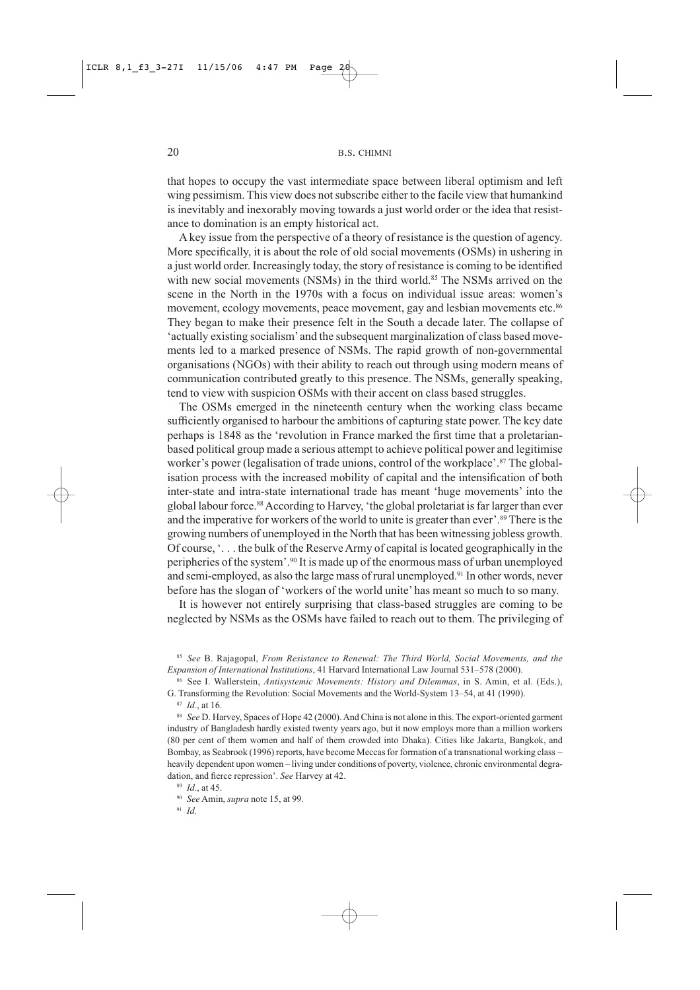that hopes to occupy the vast intermediate space between liberal optimism and left wing pessimism. This view does not subscribe either to the facile view that humankind is inevitably and inexorably moving towards a just world order or the idea that resistance to domination is an empty historical act.

A key issue from the perspective of a theory of resistance is the question of agency. More specifically, it is about the role of old social movements (OSMs) in ushering in a just world order. Increasingly today, the story of resistance is coming to be identified with new social movements (NSMs) in the third world.<sup>85</sup> The NSMs arrived on the scene in the North in the 1970s with a focus on individual issue areas: women's movement, ecology movements, peace movement, gay and lesbian movements etc.<sup>86</sup> They began to make their presence felt in the South a decade later. The collapse of 'actually existing socialism' and the subsequent marginalization of class based movements led to a marked presence of NSMs. The rapid growth of non-governmental organisations (NGOs) with their ability to reach out through using modern means of communication contributed greatly to this presence. The NSMs, generally speaking, tend to view with suspicion OSMs with their accent on class based struggles.

The OSMs emerged in the nineteenth century when the working class became sufficiently organised to harbour the ambitions of capturing state power. The key date perhaps is 1848 as the 'revolution in France marked the first time that a proletarianbased political group made a serious attempt to achieve political power and legitimise worker's power (legalisation of trade unions, control of the workplace'.<sup>87</sup> The globalisation process with the increased mobility of capital and the intensification of both inter-state and intra-state international trade has meant 'huge movements' into the global labour force.<sup>88</sup> According to Harvey, 'the global proletariat is far larger than ever and the imperative for workers of the world to unite is greater than ever'.<sup>89</sup> There is the growing numbers of unemployed in the North that has been witnessing jobless growth. Of course, '... the bulk of the Reserve Army of capital is located geographically in the peripheries of the system'.<sup>90</sup> It is made up of the enormous mass of urban unemployed and semi-employed, as also the large mass of rural unemployed.<sup>91</sup> In other words, never before has the slogan of 'workers of the world unite' has meant so much to so many.

It is however not entirely surprising that class-based struggles are coming to be neglected by NSMs as the OSMs have failed to reach out to them. The privileging of

<sup>86</sup> See I. Wallerstein, Antisystemic Movements: History and Dilemmas, in S. Amin, et al. (Eds.), G. Transforming the Revolution: Social Movements and the World-System 13–54, at 41 (1990).

 $^{87}$  *Id.*, at 16.

 $91$  Id

<sup>&</sup>lt;sup>85</sup> See B. Rajagopal, From Resistance to Renewal: The Third World, Social Movements, and the Expansion of International Institutions, 41 Harvard International Law Journal 531-578 (2000).

<sup>&</sup>lt;sup>88</sup> See D. Harvey, Spaces of Hope 42 (2000). And China is not alone in this. The export-oriented garment industry of Bangladesh hardly existed twenty years ago, but it now employs more than a million workers (80 per cent of them women and half of them crowded into Dhaka). Cities like Jakarta, Bangkok, and Bombay, as Seabrook (1996) reports, have become Meccas for formation of a transnational working class heavily dependent upon women – living under conditions of poverty, violence, chronic environmental degradation, and fierce repression'. See Harvey at 42.

 $^{89}$  *Id.*, at 45.

<sup>&</sup>lt;sup>90</sup> See Amin, supra note 15, at 99.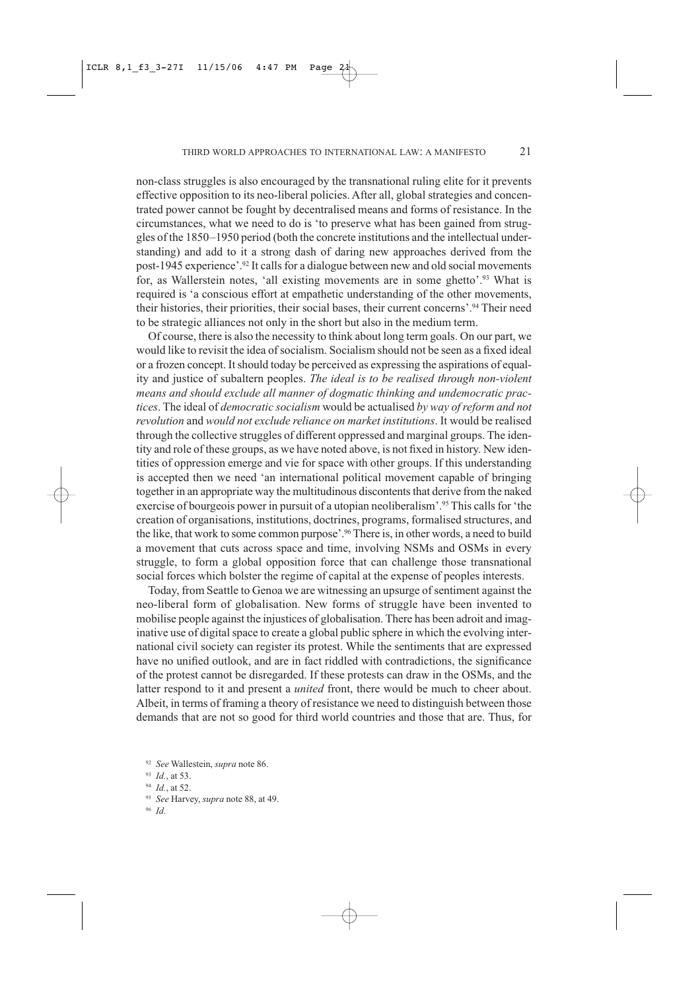non-class struggles is also encouraged by the transnational ruling elite for it prevents effective opposition to its neo-liberal policies. After all, global strategies and concentrated power cannot be fought by decentralised means and forms of resistance. In the circumstances, what we need to do is 'to preserve what has been gained from struggles of the 1850-1950 period (both the concrete institutions and the intellectual understanding) and add to it a strong dash of daring new approaches derived from the post-1945 experience'.<sup>92</sup> It calls for a dialogue between new and old social movements for, as Wallerstein notes, 'all existing movements are in some ghetto'.<sup>93</sup> What is required is 'a conscious effort at empathetic understanding of the other movements, their histories, their priorities, their social bases, their current concerns'.<sup>94</sup> Their need to be strategic alliances not only in the short but also in the medium term.

Of course, there is also the necessity to think about long term goals. On our part, we would like to revisit the idea of socialism. Socialism should not be seen as a fixed ideal or a frozen concept. It should today be perceived as expressing the aspirations of equality and justice of subaltern peoples. The ideal is to be realised through non-violent means and should exclude all manner of dogmatic thinking and undemocratic practices. The ideal of *democratic socialism* would be actualised by way of reform and not revolution and would not exclude reliance on market institutions. It would be realised through the collective struggles of different oppressed and marginal groups. The identity and role of these groups, as we have noted above, is not fixed in history. New identities of oppression emerge and vie for space with other groups. If this understanding is accepted then we need 'an international political movement capable of bringing together in an appropriate way the multitudinous discontents that derive from the naked exercise of bourgeois power in pursuit of a utopian neoliberalism'.<sup>95</sup> This calls for 'the creation of organisations, institutions, doctrines, programs, formalised structures, and the like, that work to some common purpose'. <sup>96</sup> There is, in other words, a need to build a movement that cuts across space and time, involving NSMs and OSMs in every struggle, to form a global opposition force that can challenge those transnational social forces which bolster the regime of capital at the expense of peoples interests.

Today, from Seattle to Genoa we are witnessing an upsurge of sentiment against the neo-liberal form of globalisation. New forms of struggle have been invented to mobilise people against the injustices of globalisation. There has been adroit and imaginative use of digital space to create a global public sphere in which the evolving international civil society can register its protest. While the sentiments that are expressed have no unified outlook, and are in fact riddled with contradictions, the significance of the protest cannot be disregarded. If these protests can draw in the OSMs, and the latter respond to it and present a *united* front, there would be much to cheer about. Albeit, in terms of framing a theory of resistance we need to distinguish between those demands that are not so good for third world countries and those that are. Thus, for

<sup>&</sup>lt;sup>92</sup> See Wallestein, supra note 86.

 $^{93}$  *Id.*, at 53.

<sup>&</sup>lt;sup>94</sup> *Id.*, at 52.

<sup>&</sup>lt;sup>95</sup> See Harvey, supra note 88, at 49.

 $96$  Id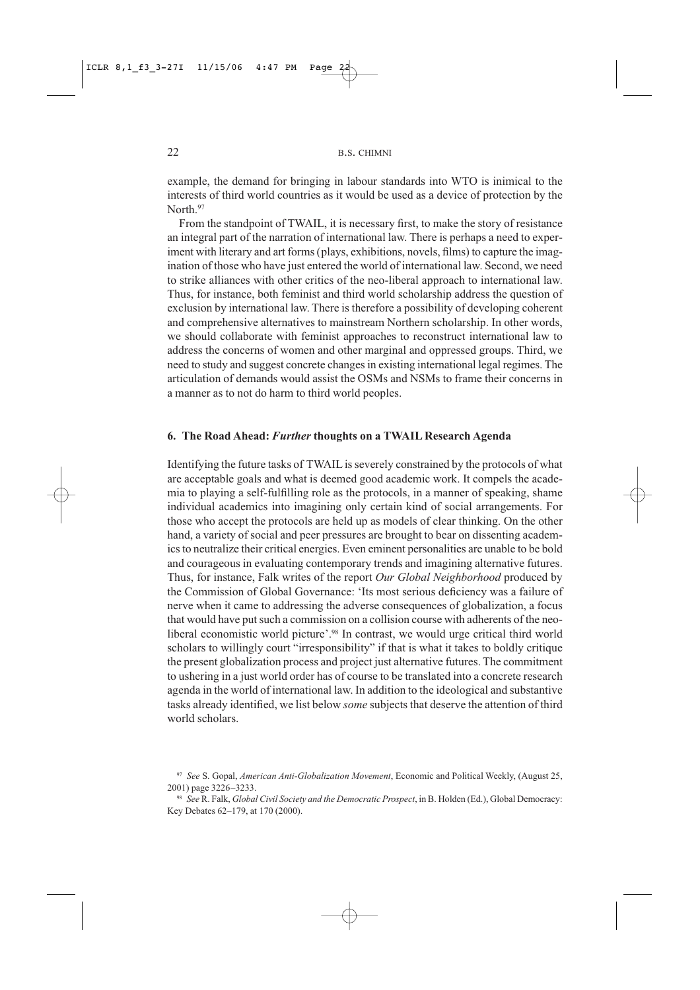example, the demand for bringing in labour standards into WTO is inimical to the interests of third world countries as it would be used as a device of protection by the North.97

From the standpoint of TWAIL, it is necessary first, to make the story of resistance an integral part of the narration of international law. There is perhaps a need to experiment with literary and art forms (plays, exhibitions, novels, films) to capture the imagination of those who have just entered the world of international law. Second, we need to strike alliances with other critics of the neo-liberal approach to international law. Thus, for instance, both feminist and third world scholarship address the question of exclusion by international law. There is therefore a possibility of developing coherent and comprehensive alternatives to mainstream Northern scholarship. In other words, we should collaborate with feminist approaches to reconstruct international law to address the concerns of women and other marginal and oppressed groups. Third, we need to study and suggest concrete changes in existing international legal regimes. The articulation of demands would assist the OSMs and NSMs to frame their concerns in a manner as to not do harm to third world peoples.

# 6. The Road Ahead: Further thoughts on a TWAIL Research Agenda

Identifying the future tasks of TWAIL is severely constrained by the protocols of what are acceptable goals and what is deemed good academic work. It compels the academia to playing a self-fulfilling role as the protocols, in a manner of speaking, shame individual academics into imagining only certain kind of social arrangements. For those who accept the protocols are held up as models of clear thinking. On the other hand, a variety of social and peer pressures are brought to bear on dissenting academics to neutralize their critical energies. Even eminent personalities are unable to be bold and courageous in evaluating contemporary trends and imagining alternative futures. Thus, for instance, Falk writes of the report Our Global Neighborhood produced by the Commission of Global Governance: 'Its most serious deficiency was a failure of nerve when it came to addressing the adverse consequences of globalization, a focus that would have put such a commission on a collision course with adherents of the neoliberal economistic world picture'.<sup>98</sup> In contrast, we would urge critical third world scholars to willingly court "irresponsibility" if that is what it takes to boldly critique the present globalization process and project just alternative futures. The commitment to ushering in a just world order has of course to be translated into a concrete research agenda in the world of international law. In addition to the ideological and substantive tasks already identified, we list below *some* subjects that deserve the attention of third world scholars.

<sup>&</sup>lt;sup>97</sup> See S. Gopal, American Anti-Globalization Movement, Economic and Political Weekly, (August 25, 2001) page 3226-3233.

<sup>&</sup>lt;sup>98</sup> See R. Falk, Global Civil Society and the Democratic Prospect, in B. Holden (Ed.), Global Democracy: Key Debates 62-179, at 170 (2000).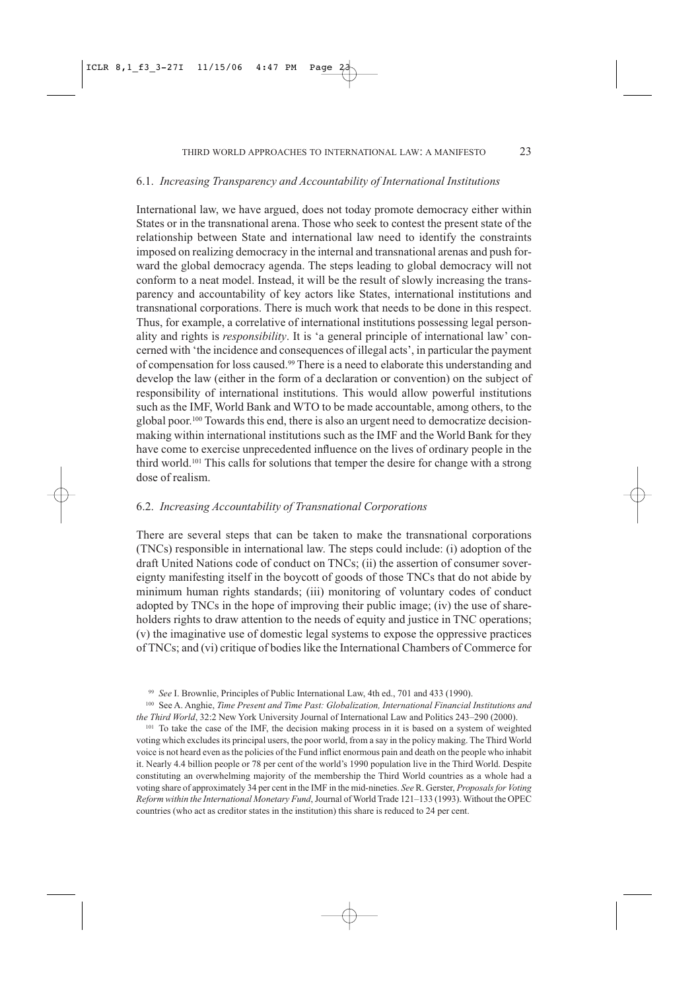### 6.1. Increasing Transparency and Accountability of International Institutions

International law, we have argued, does not today promote democracy either within States or in the transnational arena. Those who seek to contest the present state of the relationship between State and international law need to identify the constraints imposed on realizing democracy in the internal and transnational arenas and push forward the global democracy agenda. The steps leading to global democracy will not conform to a neat model. Instead, it will be the result of slowly increasing the transparency and accountability of key actors like States, international institutions and transnational corporations. There is much work that needs to be done in this respect. Thus, for example, a correlative of international institutions possessing legal personality and rights is *responsibility*. It is 'a general principle of international law' concerned with 'the incidence and consequences of illegal acts', in particular the payment of compensation for loss caused.<sup>99</sup> There is a need to elaborate this understanding and develop the law (either in the form of a declaration or convention) on the subject of responsibility of international institutions. This would allow powerful institutions such as the IMF, World Bank and WTO to be made accountable, among others, to the global poor.<sup>100</sup> Towards this end, there is also an urgent need to democratize decisionmaking within international institutions such as the IMF and the World Bank for they have come to exercise unprecedented influence on the lives of ordinary people in the third world.<sup>101</sup> This calls for solutions that temper the desire for change with a strong dose of realism.

## 6.2. Increasing Accountability of Transnational Corporations

There are several steps that can be taken to make the transnational corporations (TNCs) responsible in international law. The steps could include: (i) adoption of the draft United Nations code of conduct on TNCs; (ii) the assertion of consumer sovereignty manifesting itself in the boycott of goods of those TNCs that do not abide by minimum human rights standards; (iii) monitoring of voluntary codes of conduct adopted by TNCs in the hope of improving their public image; (iv) the use of shareholders rights to draw attention to the needs of equity and justice in TNC operations; (v) the imaginative use of domestic legal systems to expose the oppressive practices of TNCs; and (vi) critique of bodies like the International Chambers of Commerce for

<sup>101</sup> To take the case of the IMF, the decision making process in it is based on a system of weighted voting which excludes its principal users, the poor world, from a say in the policy making. The Third World voice is not heard even as the policies of the Fund inflict enormous pain and death on the people who inhabit it. Nearly 4.4 billion people or 78 per cent of the world's 1990 population live in the Third World. Despite constituting an overwhelming majority of the membership the Third World countries as a whole had a voting share of approximately 34 per cent in the IMF in the mid-nineties. See R. Gerster, Proposals for Voting Reform within the International Monetary Fund, Journal of World Trade 121-133 (1993). Without the OPEC countries (who act as creditor states in the institution) this share is reduced to 24 per cent.

<sup>&</sup>lt;sup>99</sup> See I. Brownlie, Principles of Public International Law, 4th ed., 701 and 433 (1990).

<sup>&</sup>lt;sup>100</sup> See A. Anghie, *Time Present and Time Past: Globalization, International Financial Institutions and* the Third World, 32:2 New York University Journal of International Law and Politics 243-290 (2000).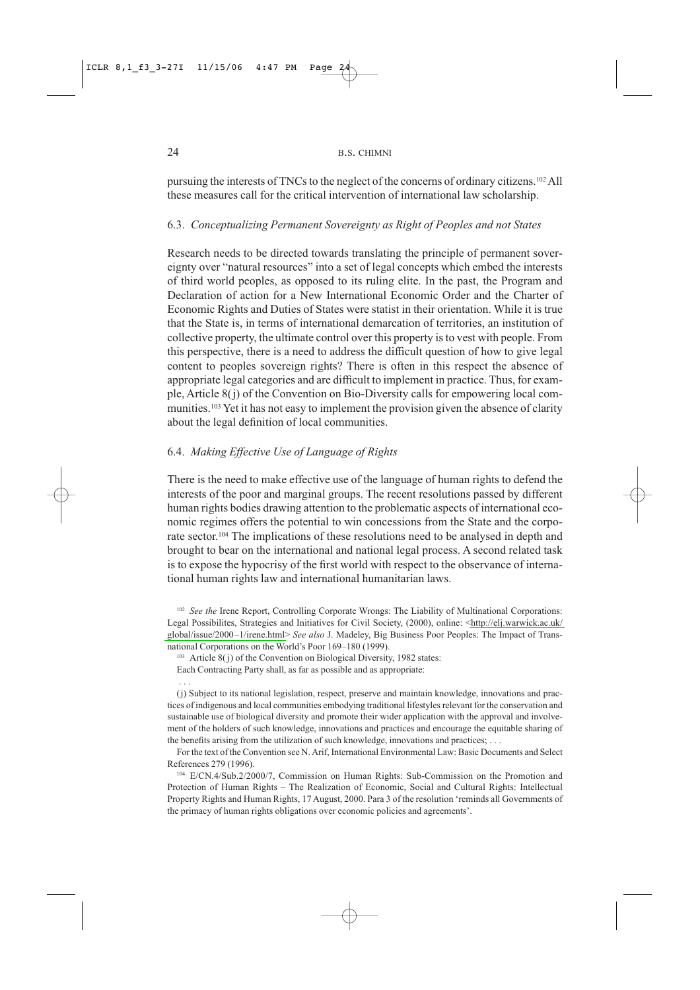pursuing the interests of TNCs to the neglect of the concerns of ordinary citizens.<sup>102</sup> All these measures call for the critical intervention of international law scholarship.

# 6.3. Conceptualizing Permanent Sovereignty as Right of Peoples and not States

Research needs to be directed towards translating the principle of permanent sovereignty over "natural resources" into a set of legal concepts which embed the interests of third world peoples, as opposed to its ruling elite. In the past, the Program and Declaration of action for a New International Economic Order and the Charter of Economic Rights and Duties of States were statist in their orientation. While it is true that the State is, in terms of international demarcation of territories, an institution of collective property, the ultimate control over this property is to vest with people. From this perspective, there is a need to address the difficult question of how to give legal content to peoples sovereign rights? There is often in this respect the absence of appropriate legal categories and are difficult to implement in practice. Thus, for example, Article 8(j) of the Convention on Bio-Diversity calls for empowering local communities.<sup>103</sup> Yet it has not easy to implement the provision given the absence of clarity about the legal definition of local communities.

# 6.4. Making Effective Use of Language of Rights

There is the need to make effective use of the language of human rights to defend the interests of the poor and marginal groups. The recent resolutions passed by different human rights bodies drawing attention to the problematic aspects of international economic regimes offers the potential to win concessions from the State and the corporate sector.<sup>104</sup> The implications of these resolutions need to be analysed in depth and brought to bear on the international and national legal process. A second related task is to expose the hypocrisy of the first world with respect to the observance of international human rights law and international humanitarian laws.

<sup>102</sup> See the Irene Report, Controlling Corporate Wrongs: The Liability of Multinational Corporations: Legal Possibilites, Strategies and Initiatives for Civil Society, (2000), online: <http://elj.warwick.ac.uk/ global/issue/2000-1/irene.html> See also J. Madeley, Big Business Poor Peoples: The Impact of Transnational Corporations on the World's Poor 169-180 (1999).

 $103$  Article 8(j) of the Convention on Biological Diversity, 1982 states:

Each Contracting Party shall, as far as possible and as appropriate:

(i) Subject to its national legislation, respect, preserve and maintain knowledge, innovations and practices of indigenous and local communities embodying traditional lifestyles relevant for the conservation and sustainable use of biological diversity and promote their wider application with the approval and involvement of the holders of such knowledge, innovations and practices and encourage the equitable sharing of the benefits arising from the utilization of such knowledge, innovations and practices; ...

For the text of the Convention see N. Arif, International Environmental Law: Basic Documents and Select References 279 (1996).

<sup>104</sup> E/CN.4/Sub.2/2000/7, Commission on Human Rights: Sub-Commission on the Promotion and Protection of Human Rights - The Realization of Economic, Social and Cultural Rights: Intellectual Property Rights and Human Rights, 17 August, 2000. Para 3 of the resolution 'reminds all Governments of the primacy of human rights obligations over economic policies and agreements'.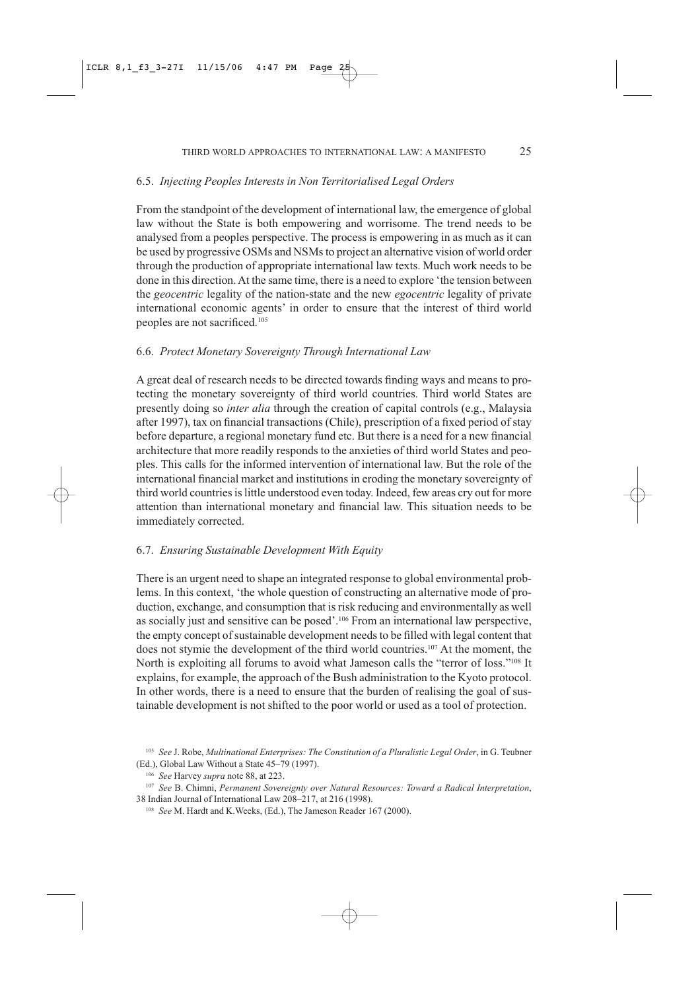### 6.5. Injecting Peoples Interests in Non Territorialised Legal Orders

From the standpoint of the development of international law, the emergence of global law without the State is both empowering and worrisome. The trend needs to be analysed from a peoples perspective. The process is empowering in as much as it can be used by progressive OSMs and NSMs to project an alternative vision of world order through the production of appropriate international law texts. Much work needs to be done in this direction. At the same time, there is a need to explore 'the tension between the *geocentric* legality of the nation-state and the new *egocentric* legality of private international economic agents' in order to ensure that the interest of third world peoples are not sacrificed.<sup>105</sup>

## 6.6. Protect Monetary Sovereignty Through International Law

A great deal of research needs to be directed towards finding ways and means to protecting the monetary sovereignty of third world countries. Third world States are presently doing so *inter alia* through the creation of capital controls (e.g., Malaysia after 1997), tax on financial transactions (Chile), prescription of a fixed period of stay before departure, a regional monetary fund etc. But there is a need for a new financial architecture that more readily responds to the anxieties of third world States and peoples. This calls for the informed intervention of international law. But the role of the international financial market and institutions in eroding the monetary sovereignty of third world countries is little understood even today. Indeed, few areas cry out for more attention than international monetary and financial law. This situation needs to be immediately corrected.

## 6.7. Ensuring Sustainable Development With Equity

There is an urgent need to shape an integrated response to global environmental problems. In this context, 'the whole question of constructing an alternative mode of production, exchange, and consumption that is risk reducing and environmentally as well as socially just and sensitive can be posed'.<sup>106</sup> From an international law perspective, the empty concept of sustainable development needs to be filled with legal content that does not stymie the development of the third world countries.<sup>107</sup> At the moment, the North is exploiting all forums to avoid what Jameson calls the "terror of loss."<sup>108</sup> It explains, for example, the approach of the Bush administration to the Kyoto protocol. In other words, there is a need to ensure that the burden of realising the goal of sustainable development is not shifted to the poor world or used as a tool of protection.

<sup>&</sup>lt;sup>105</sup> See J. Robe, *Multinational Enterprises: The Constitution of a Pluralistic Legal Order*, in G. Teubner (Ed.), Global Law Without a State 45-79 (1997).

<sup>&</sup>lt;sup>106</sup> See Harvey supra note 88, at 223.

<sup>&</sup>lt;sup>107</sup> See B. Chimni, Permanent Sovereignty over Natural Resources: Toward a Radical Interpretation, 38 Indian Journal of International Law 208-217, at 216 (1998).

<sup>&</sup>lt;sup>108</sup> See M. Hardt and K. Weeks, (Ed.), The Jameson Reader 167 (2000).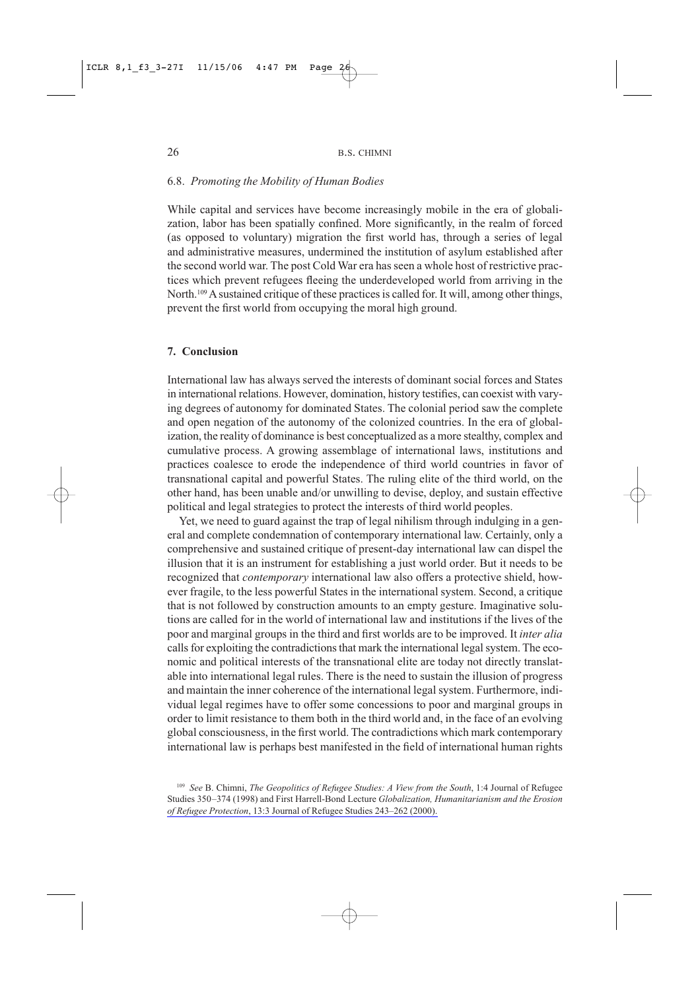## 6.8. Promoting the Mobility of Human Bodies

While capital and services have become increasingly mobile in the era of globalization, labor has been spatially confined. More significantly, in the realm of forced (as opposed to voluntary) migration the first world has, through a series of legal and administrative measures, undermined the institution of asylum established after the second world war. The post Cold War era has seen a whole host of restrictive practices which prevent refugees fleeing the underdeveloped world from arriving in the North.<sup>109</sup> A sustained critique of these practices is called for. It will, among other things, prevent the first world from occupying the moral high ground.

## 7. Conclusion

International law has always served the interests of dominant social forces and States in international relations. However, domination, history testifies, can coexist with varying degrees of autonomy for dominated States. The colonial period saw the complete and open negation of the autonomy of the colonized countries. In the era of globalization, the reality of dominance is best conceptualized as a more stealthy, complex and cumulative process. A growing assemblage of international laws, institutions and practices coalesce to erode the independence of third world countries in favor of transnational capital and powerful States. The ruling elite of the third world, on the other hand, has been unable and/or unwilling to devise, deploy, and sustain effective political and legal strategies to protect the interests of third world peoples.

Yet, we need to guard against the trap of legal nihilism through indulging in a general and complete condemnation of contemporary international law. Certainly, only a comprehensive and sustained critique of present-day international law can dispel the illusion that it is an instrument for establishing a just world order. But it needs to be recognized that *contemporary* international law also offers a protective shield, however fragile, to the less powerful States in the international system. Second, a critique that is not followed by construction amounts to an empty gesture. Imaginative solutions are called for in the world of international law and institutions if the lives of the poor and marginal groups in the third and first worlds are to be improved. It *inter alia* calls for exploiting the contradictions that mark the international legal system. The economic and political interests of the transnational elite are today not directly translatable into international legal rules. There is the need to sustain the illusion of progress and maintain the inner coherence of the international legal system. Furthermore, individual legal regimes have to offer some concessions to poor and marginal groups in order to limit resistance to them both in the third world and, in the face of an evolving global consciousness, in the first world. The contradictions which mark contemporary international law is perhaps best manifested in the field of international human rights

<sup>&</sup>lt;sup>109</sup> See B. Chimni, The Geopolitics of Refugee Studies: A View from the South, 1:4 Journal of Refugee Studies 350-374 (1998) and First Harrell-Bond Lecture Globalization, Humanitarianism and the Erosion of Refugee Protection, 13:3 Journal of Refugee Studies 243–262 (2000).